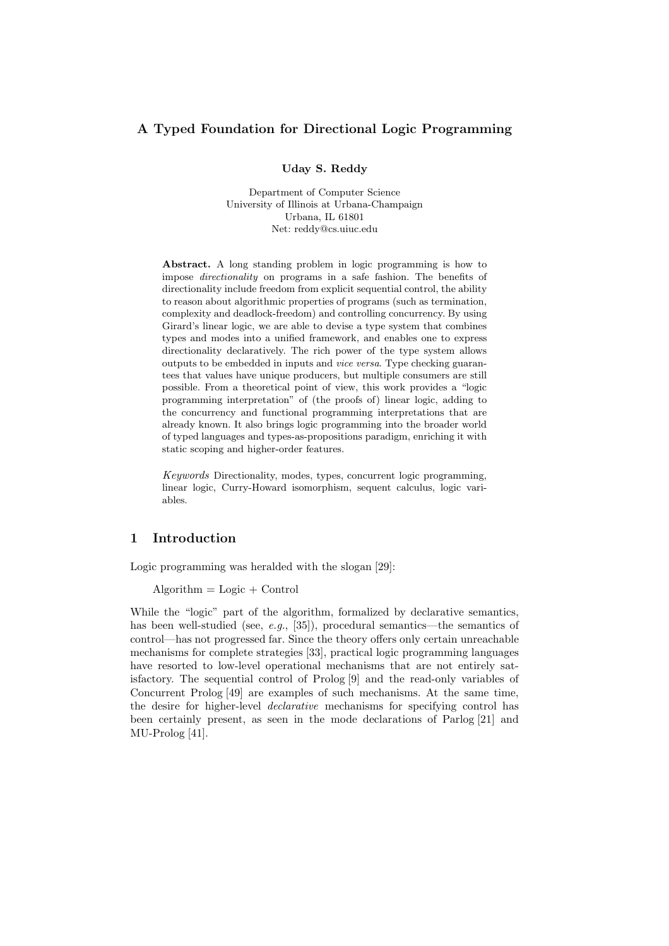# A Typed Foundation for Directional Logic Programming

Uday S. Reddy

Department of Computer Science University of Illinois at Urbana-Champaign Urbana, IL 61801 Net: reddy@cs.uiuc.edu

Abstract. A long standing problem in logic programming is how to impose directionality on programs in a safe fashion. The benefits of directionality include freedom from explicit sequential control, the ability to reason about algorithmic properties of programs (such as termination, complexity and deadlock-freedom) and controlling concurrency. By using Girard's linear logic, we are able to devise a type system that combines types and modes into a unified framework, and enables one to express directionality declaratively. The rich power of the type system allows outputs to be embedded in inputs and vice versa. Type checking guarantees that values have unique producers, but multiple consumers are still possible. From a theoretical point of view, this work provides a "logic programming interpretation" of (the proofs of) linear logic, adding to the concurrency and functional programming interpretations that are already known. It also brings logic programming into the broader world of typed languages and types-as-propositions paradigm, enriching it with static scoping and higher-order features.

Keywords Directionality, modes, types, concurrent logic programming, linear logic, Curry-Howard isomorphism, sequent calculus, logic variables.

# 1 Introduction

Logic programming was heralded with the slogan [29]:

 $Algorithm = Logic + Control$ 

While the "logic" part of the algorithm, formalized by declarative semantics, has been well-studied (see, e.g., [35]), procedural semantics—the semantics of control—has not progressed far. Since the theory offers only certain unreachable mechanisms for complete strategies [33], practical logic programming languages have resorted to low-level operational mechanisms that are not entirely satisfactory. The sequential control of Prolog [9] and the read-only variables of Concurrent Prolog [49] are examples of such mechanisms. At the same time, the desire for higher-level declarative mechanisms for specifying control has been certainly present, as seen in the mode declarations of Parlog [21] and MU-Prolog [41].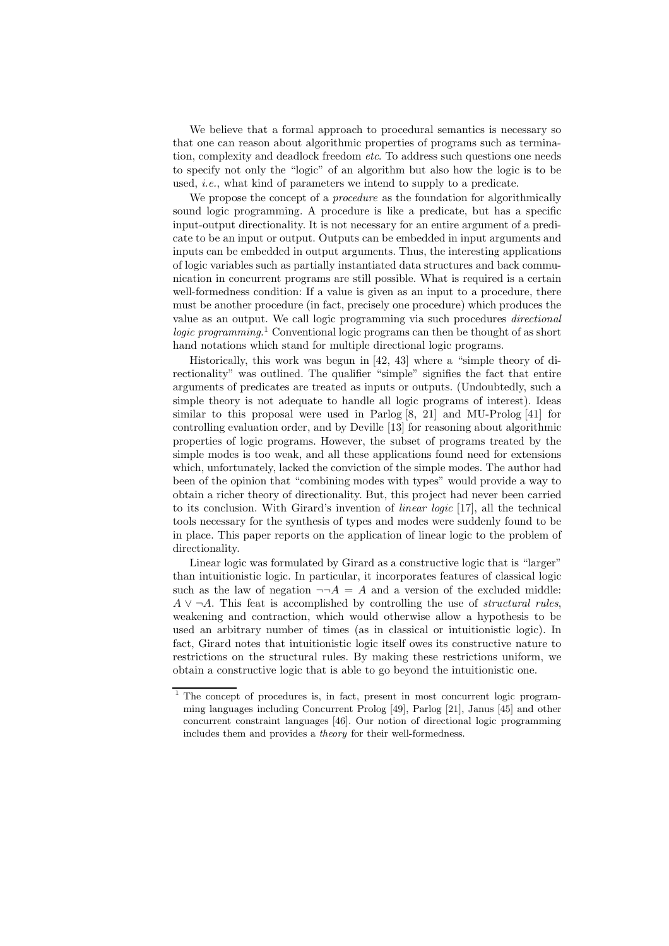We believe that a formal approach to procedural semantics is necessary so that one can reason about algorithmic properties of programs such as termination, complexity and deadlock freedom *etc*. To address such questions one needs to specify not only the "logic" of an algorithm but also how the logic is to be used, i.e., what kind of parameters we intend to supply to a predicate.

We propose the concept of a *procedure* as the foundation for algorithmically sound logic programming. A procedure is like a predicate, but has a specific input-output directionality. It is not necessary for an entire argument of a predicate to be an input or output. Outputs can be embedded in input arguments and inputs can be embedded in output arguments. Thus, the interesting applications of logic variables such as partially instantiated data structures and back communication in concurrent programs are still possible. What is required is a certain well-formedness condition: If a value is given as an input to a procedure, there must be another procedure (in fact, precisely one procedure) which produces the value as an output. We call logic programming via such procedures directional logic programming.<sup>1</sup> Conventional logic programs can then be thought of as short hand notations which stand for multiple directional logic programs.

Historically, this work was begun in [42, 43] where a "simple theory of directionality" was outlined. The qualifier "simple" signifies the fact that entire arguments of predicates are treated as inputs or outputs. (Undoubtedly, such a simple theory is not adequate to handle all logic programs of interest). Ideas similar to this proposal were used in Parlog [8, 21] and MU-Prolog [41] for controlling evaluation order, and by Deville [13] for reasoning about algorithmic properties of logic programs. However, the subset of programs treated by the simple modes is too weak, and all these applications found need for extensions which, unfortunately, lacked the conviction of the simple modes. The author had been of the opinion that "combining modes with types" would provide a way to obtain a richer theory of directionality. But, this project had never been carried to its conclusion. With Girard's invention of linear logic [17], all the technical tools necessary for the synthesis of types and modes were suddenly found to be in place. This paper reports on the application of linear logic to the problem of directionality.

Linear logic was formulated by Girard as a constructive logic that is "larger" than intuitionistic logic. In particular, it incorporates features of classical logic such as the law of negation  $\neg A = A$  and a version of the excluded middle:  $A \vee \neg A$ . This feat is accomplished by controlling the use of *structural rules*, weakening and contraction, which would otherwise allow a hypothesis to be used an arbitrary number of times (as in classical or intuitionistic logic). In fact, Girard notes that intuitionistic logic itself owes its constructive nature to restrictions on the structural rules. By making these restrictions uniform, we obtain a constructive logic that is able to go beyond the intuitionistic one.

<sup>1</sup> The concept of procedures is, in fact, present in most concurrent logic programming languages including Concurrent Prolog [49], Parlog [21], Janus [45] and other concurrent constraint languages [46]. Our notion of directional logic programming includes them and provides a theory for their well-formedness.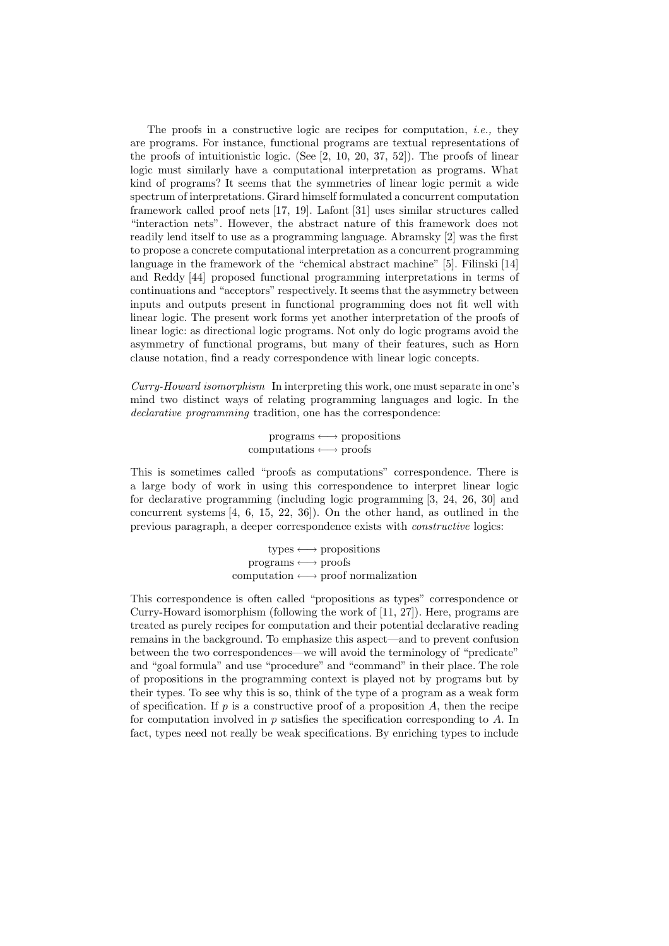The proofs in a constructive logic are recipes for computation, *i.e.*, they are programs. For instance, functional programs are textual representations of the proofs of intuitionistic logic. (See [2, 10, 20, 37, 52]). The proofs of linear logic must similarly have a computational interpretation as programs. What kind of programs? It seems that the symmetries of linear logic permit a wide spectrum of interpretations. Girard himself formulated a concurrent computation framework called proof nets [17, 19]. Lafont [31] uses similar structures called "interaction nets". However, the abstract nature of this framework does not readily lend itself to use as a programming language. Abramsky [2] was the first to propose a concrete computational interpretation as a concurrent programming language in the framework of the "chemical abstract machine" [5]. Filinski [14] and Reddy [44] proposed functional programming interpretations in terms of continuations and "acceptors" respectively. It seems that the asymmetry between inputs and outputs present in functional programming does not fit well with linear logic. The present work forms yet another interpretation of the proofs of linear logic: as directional logic programs. Not only do logic programs avoid the asymmetry of functional programs, but many of their features, such as Horn clause notation, find a ready correspondence with linear logic concepts.

Curry-Howard isomorphism In interpreting this work, one must separate in one's mind two distinct ways of relating programming languages and logic. In the declarative programming tradition, one has the correspondence:

> programs ←→ propositions computations ←→ proofs

This is sometimes called "proofs as computations" correspondence. There is a large body of work in using this correspondence to interpret linear logic for declarative programming (including logic programming [3, 24, 26, 30] and concurrent systems [4, 6, 15, 22, 36]). On the other hand, as outlined in the previous paragraph, a deeper correspondence exists with constructive logics:

> $types \longleftrightarrow propositions$ programs ←→ proofs computation ←→ proof normalization

This correspondence is often called "propositions as types" correspondence or Curry-Howard isomorphism (following the work of [11, 27]). Here, programs are treated as purely recipes for computation and their potential declarative reading remains in the background. To emphasize this aspect—and to prevent confusion between the two correspondences—we will avoid the terminology of "predicate" and "goal formula" and use "procedure" and "command" in their place. The role of propositions in the programming context is played not by programs but by their types. To see why this is so, think of the type of a program as a weak form of specification. If  $p$  is a constructive proof of a proposition  $A$ , then the recipe for computation involved in  $p$  satisfies the specification corresponding to  $A$ . In fact, types need not really be weak specifications. By enriching types to include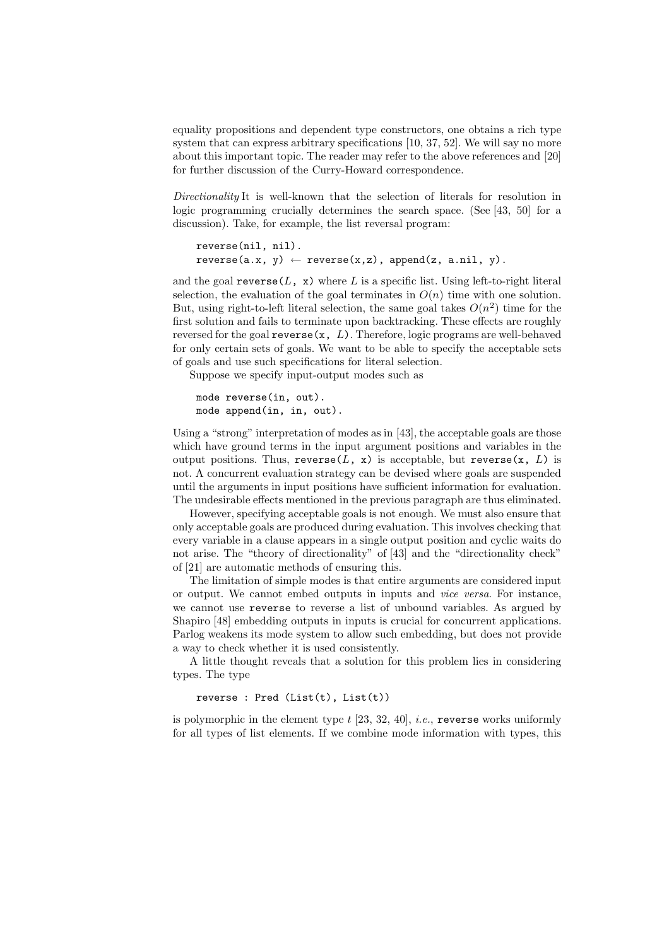equality propositions and dependent type constructors, one obtains a rich type system that can express arbitrary specifications [10, 37, 52]. We will say no more about this important topic. The reader may refer to the above references and [20] for further discussion of the Curry-Howard correspondence.

Directionality It is well-known that the selection of literals for resolution in logic programming crucially determines the search space. (See [43, 50] for a discussion). Take, for example, the list reversal program:

```
reverse(nil, nil).
reverse(a.x, y) \leftarrow reverse(x, z), append(z, a.nil, y).
```
and the goal  $reverse(L, x)$  where L is a specific list. Using left-to-right literal selection, the evaluation of the goal terminates in  $O(n)$  time with one solution. But, using right-to-left literal selection, the same goal takes  $O(n^2)$  time for the first solution and fails to terminate upon backtracking. These effects are roughly reversed for the goal  $reverse(x, L)$ . Therefore, logic programs are well-behaved for only certain sets of goals. We want to be able to specify the acceptable sets of goals and use such specifications for literal selection.

Suppose we specify input-output modes such as

```
mode reverse(in, out).
mode append(in, in, out).
```
Using a "strong" interpretation of modes as in [43], the acceptable goals are those which have ground terms in the input argument positions and variables in the output positions. Thus, reverse(L, x) is acceptable, but reverse(x, L) is not. A concurrent evaluation strategy can be devised where goals are suspended until the arguments in input positions have sufficient information for evaluation. The undesirable effects mentioned in the previous paragraph are thus eliminated.

However, specifying acceptable goals is not enough. We must also ensure that only acceptable goals are produced during evaluation. This involves checking that every variable in a clause appears in a single output position and cyclic waits do not arise. The "theory of directionality" of [43] and the "directionality check" of [21] are automatic methods of ensuring this.

The limitation of simple modes is that entire arguments are considered input or output. We cannot embed outputs in inputs and vice versa. For instance, we cannot use reverse to reverse a list of unbound variables. As argued by Shapiro [48] embedding outputs in inputs is crucial for concurrent applications. Parlog weakens its mode system to allow such embedding, but does not provide a way to check whether it is used consistently.

A little thought reveals that a solution for this problem lies in considering types. The type

reverse : Pred (List(t), List(t))

is polymorphic in the element type  $t$  [23, 32, 40], *i.e.*, reverse works uniformly for all types of list elements. If we combine mode information with types, this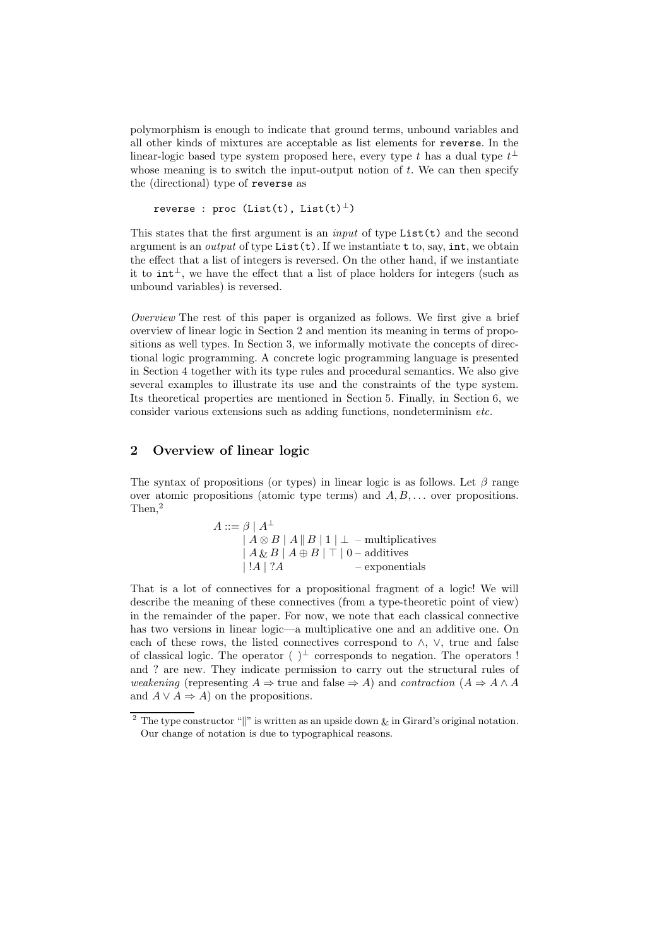polymorphism is enough to indicate that ground terms, unbound variables and all other kinds of mixtures are acceptable as list elements for reverse. In the linear-logic based type system proposed here, every type t has a dual type  $t^{\perp}$ whose meaning is to switch the input-output notion of  $t$ . We can then specify the (directional) type of reverse as

reverse : proc (List(t), List(t)<sup> $\perp$ </sup>)

This states that the first argument is an *input* of type List $(t)$  and the second argument is an *output* of type  $List(t)$ . If we instantiate t to, say, int, we obtain the effect that a list of integers is reversed. On the other hand, if we instantiate it to  $int<sup>⊥</sup>$ , we have the effect that a list of place holders for integers (such as unbound variables) is reversed.

Overview The rest of this paper is organized as follows. We first give a brief overview of linear logic in Section 2 and mention its meaning in terms of propositions as well types. In Section 3, we informally motivate the concepts of directional logic programming. A concrete logic programming language is presented in Section 4 together with its type rules and procedural semantics. We also give several examples to illustrate its use and the constraints of the type system. Its theoretical properties are mentioned in Section 5. Finally, in Section 6, we consider various extensions such as adding functions, nondeterminism etc.

# 2 Overview of linear logic

The syntax of propositions (or types) in linear logic is as follows. Let  $\beta$  range over atomic propositions (atomic type terms) and  $A, B, \ldots$  over propositions. Then,<sup>2</sup>

> $A ::= \beta | A^{\perp}$  $| A \otimes B | A | B | 1 | \perp$  – multiplicatives  $\mid A\,\&\, B \mid A \oplus B \mid \top \mid 0$  – additives  $|!A|$  ?A – exponentials

That is a lot of connectives for a propositional fragment of a logic! We will describe the meaning of these connectives (from a type-theoretic point of view) in the remainder of the paper. For now, we note that each classical connective has two versions in linear logic—a multiplicative one and an additive one. On each of these rows, the listed connectives correspond to ∧, ∨, true and false of classical logic. The operator ( $)$ <sup> $\perp$ </sup> corresponds to negation. The operators ! and ? are new. They indicate permission to carry out the structural rules of weakening (representing  $A \Rightarrow$  true and false  $\Rightarrow$  A) and contraction  $(A \Rightarrow A \wedge A)$ and  $A \vee A \Rightarrow A$  on the propositions.

<sup>&</sup>lt;sup>2</sup> The type constructor "||" is written as an upside down  $\&$  in Girard's original notation. Our change of notation is due to typographical reasons.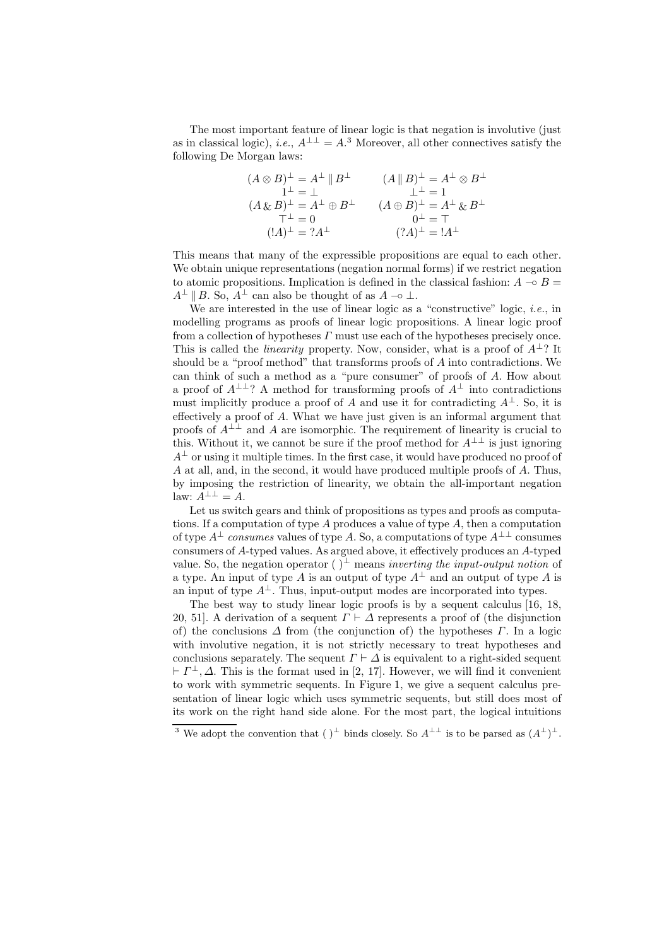The most important feature of linear logic is that negation is involutive (just as in classical logic), *i.e.*,  $A^{\perp\perp} = A^{.3}$  Moreover, all other connectives satisfy the following De Morgan laws:

$$
(A \otimes B)^{\perp} = A^{\perp} \parallel B^{\perp}
$$
\n
$$
(A \parallel B)^{\perp} = A^{\perp} \otimes B^{\perp}
$$
\n
$$
1^{\perp} = \perp
$$
\n
$$
(A \& B)^{\perp} = A^{\perp} \oplus B^{\perp}
$$
\n
$$
(A \oplus B)^{\perp} = A^{\perp} \& B^{\perp}
$$
\n
$$
(A \oplus B)^{\perp} = A^{\perp} \& B^{\perp}
$$
\n
$$
(A \oplus B)^{\perp} = A^{\perp} \& B^{\perp}
$$
\n
$$
(A \oplus B)^{\perp} = A^{\perp} \& B^{\perp}
$$
\n
$$
(A \oplus B)^{\perp} = A^{\perp} \& B^{\perp}
$$

This means that many of the expressible propositions are equal to each other. We obtain unique representations (negation normal forms) if we restrict negation to atomic propositions. Implication is defined in the classical fashion:  $A \rightarrow B =$  $A^{\perp} \parallel B$ . So,  $A^{\perp}$  can also be thought of as  $A \multimap \perp$ .

We are interested in the use of linear logic as a "constructive" logic, *i.e.*, in modelling programs as proofs of linear logic propositions. A linear logic proof from a collection of hypotheses  $\Gamma$  must use each of the hypotheses precisely once. This is called the *linearity* property. Now, consider, what is a proof of  $A^{\perp}$ ? It should be a "proof method" that transforms proofs of A into contradictions. We can think of such a method as a "pure consumer" of proofs of A. How about a proof of  $A^{\perp\perp}$ ? A method for transforming proofs of  $A^{\perp}$  into contradictions must implicitly produce a proof of A and use it for contradicting  $A^{\perp}$ . So, it is effectively a proof of A. What we have just given is an informal argument that proofs of  $A^{\perp \perp}$  and A are isomorphic. The requirement of linearity is crucial to this. Without it, we cannot be sure if the proof method for  $A^{\perp \perp}$  is just ignoring  $A^{\perp}$  or using it multiple times. In the first case, it would have produced no proof of A at all, and, in the second, it would have produced multiple proofs of A. Thus, by imposing the restriction of linearity, we obtain the all-important negation law:  $A^{\perp \perp} = A$ .

Let us switch gears and think of propositions as types and proofs as computations. If a computation of type A produces a value of type A, then a computation of type  $A^{\perp}$  consumes values of type A. So, a computations of type  $A^{\perp\perp}$  consumes consumers of A-typed values. As argued above, it effectively produces an A-typed value. So, the negation operator  $\overline{()^{\perp}}$  means *inverting the input-output notion* of a type. An input of type A is an output of type  $A^{\perp}$  and an output of type A is an input of type  $A^{\perp}$ . Thus, input-output modes are incorporated into types.

The best way to study linear logic proofs is by a sequent calculus [16, 18, 20, 51]. A derivation of a sequent  $\Gamma \vdash \Delta$  represents a proof of (the disjunction of) the conclusions  $\Delta$  from (the conjunction of) the hypotheses  $\Gamma$ . In a logic with involutive negation, it is not strictly necessary to treat hypotheses and conclusions separately. The sequent  $\Gamma \vdash \Delta$  is equivalent to a right-sided sequent  $\vdash \Gamma^{\perp}, \Delta$ . This is the format used in [2, 17]. However, we will find it convenient to work with symmetric sequents. In Figure 1, we give a sequent calculus presentation of linear logic which uses symmetric sequents, but still does most of its work on the right hand side alone. For the most part, the logical intuitions

<sup>&</sup>lt;sup>3</sup> We adopt the convention that  $( )^{\perp}$  binds closely. So  $A^{\perp\perp}$  is to be parsed as  $(A^{\perp})^{\perp}$ .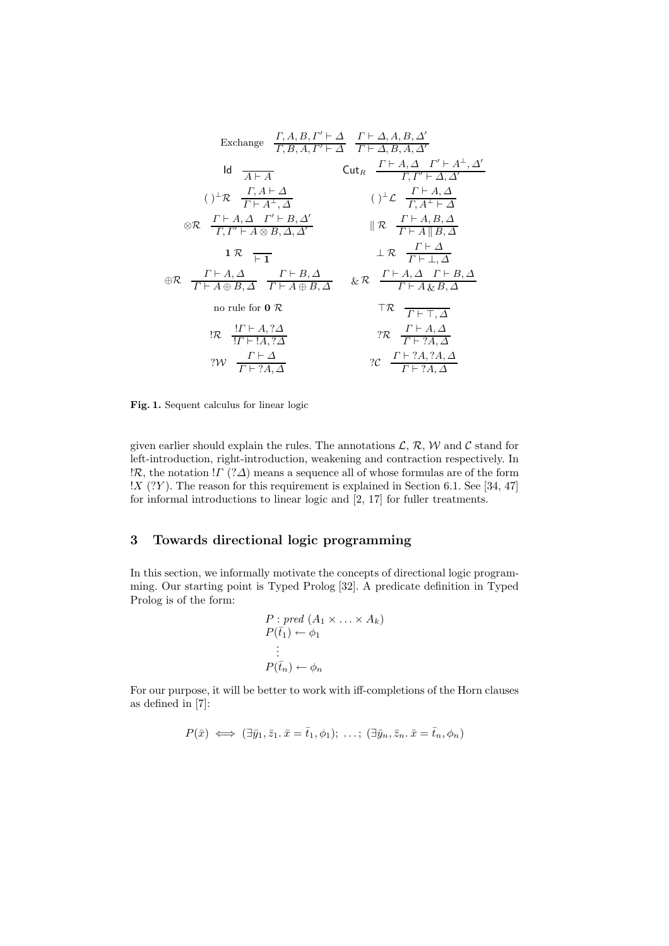Exchange

\n
$$
\frac{\Gamma, A, B, \Gamma' \vdash \Delta}{\Gamma, B, A, \Gamma' \vdash \Delta} \quad \frac{\Gamma \vdash \Delta, A, B, \Delta'}{\Gamma \vdash \Delta, B, A, \Delta'}
$$
\nId

\n
$$
\frac{\Gamma \vdash A, \Delta \quad \Gamma' \vdash A^{\perp}, \Delta'}{\Gamma, \Gamma' \vdash \Delta, \Delta'}
$$
\n
$$
(\ )^{\perp} \mathcal{R} \quad \frac{\Gamma \vdash A, \Delta \quad \Gamma' \vdash B, \Delta'}{\Gamma, \Gamma' \vdash A \otimes B, \Delta, \Delta'}
$$
\n
$$
(\ )^{\perp} \mathcal{L} \quad \frac{\Gamma \vdash A, \Delta}{\Gamma, A^{\perp} \vdash \Delta}
$$
\n
$$
\otimes \mathcal{R} \quad \frac{\Gamma \vdash A, \Delta \quad \Gamma' \vdash B, \Delta'}{\Gamma, \Gamma' \vdash A \otimes B, \Delta, \Delta'} \qquad \|\mathcal{R} \quad \frac{\Gamma \vdash A, B, \Delta}{\Gamma \vdash A \|\, B, \Delta}
$$
\n
$$
1 \quad \mathcal{R} \quad \frac{\Gamma \vdash \Delta}{\Gamma \vdash \bot, \Delta}
$$
\n
$$
\oplus \mathcal{R} \quad \frac{\Gamma \vdash A, \Delta}{\Gamma \vdash A \oplus B, \Delta} \quad \frac{\Gamma \vdash B, \Delta}{\Gamma \vdash A \oplus B, \Delta} \qquad \& \mathcal{R} \quad \frac{\Gamma \vdash A, \Delta \quad \Gamma \vdash B, \Delta}{\Gamma \vdash A, \Delta \quad \Gamma \vdash A, \Delta \quad \Gamma \vdash B, \Delta}
$$
\nno rule for **0** 
$$
\|\mathcal{R} \quad \frac{!\Gamma \vdash A, ?\Delta}{!\Gamma \vdash !A, ?\Delta} \qquad \qquad ?\mathcal{R} \quad \frac{\Gamma \vdash A, \Delta}{\Gamma \vdash ?A, \Delta}
$$
\n
$$
?W \quad \frac{\Gamma \vdash \Delta}{\Gamma \vdash ?A, \Delta} \qquad ?\mathcal{C} \quad \frac{\Gamma \vdash ?A, ?A, \Delta}{\Gamma \vdash ?A, \Delta}
$$

Fig. 1. Sequent calculus for linear logic

given earlier should explain the rules. The annotations  $\mathcal{L}, \mathcal{R}, \mathcal{W}$  and  $\mathcal{C}$  stand for left-introduction, right-introduction, weakening and contraction respectively. In  $\mathbb{R}$ , the notation  $\Gamma(\mathcal{P}\Delta)$  means a sequence all of whose formulas are of the form  $!X(?Y)$ . The reason for this requirement is explained in Section 6.1. See [34, 47] for informal introductions to linear logic and [2, 17] for fuller treatments.

# 3 Towards directional logic programming

In this section, we informally motivate the concepts of directional logic programming. Our starting point is Typed Prolog [32]. A predicate definition in Typed Prolog is of the form:

$$
P: pred (A_1 \times ... \times A_k)
$$
  
\n
$$
P(\bar{t}_1) \leftarrow \phi_1
$$
  
\n
$$
\vdots
$$
  
\n
$$
P(\bar{t}_n) \leftarrow \phi_n
$$

For our purpose, it will be better to work with iff-completions of the Horn clauses as defined in [7]:

$$
P(\bar{x}) \iff (\exists \bar{y}_1, \bar{z}_1 \ldotp \bar{x} = \bar{t}_1, \phi_1); \ldots; (\exists \bar{y}_n, \bar{z}_n \ldotp \bar{x} = \bar{t}_n, \phi_n)
$$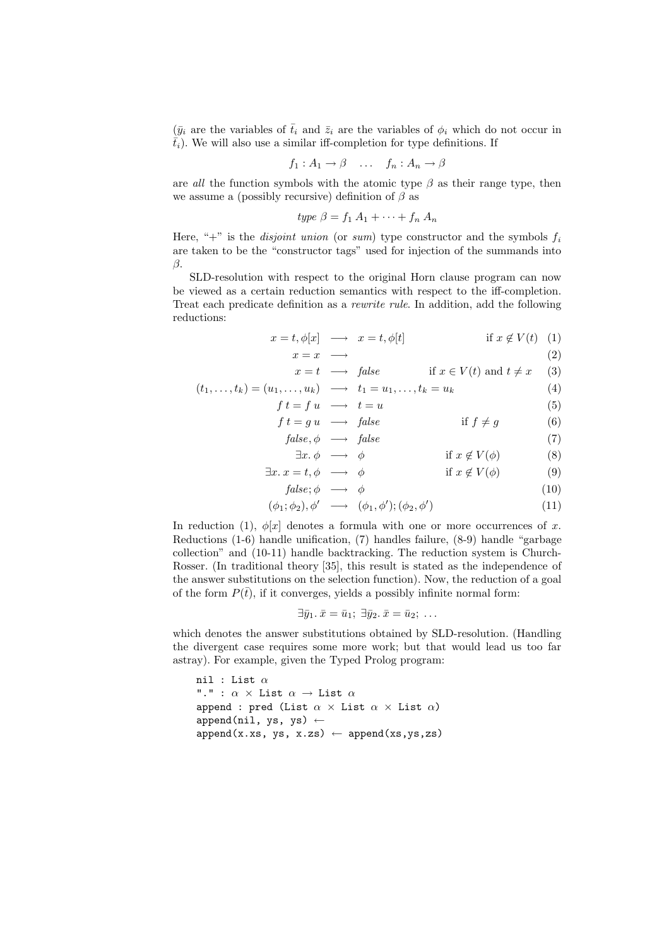$(\bar{y}_i)$  are the variables of  $\bar{t}_i$  and  $\bar{z}_i$  are the variables of  $\phi_i$  which do not occur in  $\bar{t}_i$ ). We will also use a similar iff-completion for type definitions. If

$$
f_1: A_1 \to \beta \quad \dots \quad f_n: A_n \to \beta
$$

are all the function symbols with the atomic type  $\beta$  as their range type, then we assume a (possibly recursive) definition of  $\beta$  as

$$
type \beta = f_1 A_1 + \cdots + f_n A_n
$$

Here, "+" is the *disjoint union* (or sum) type constructor and the symbols  $f_i$ are taken to be the "constructor tags" used for injection of the summands into β.

SLD-resolution with respect to the original Horn clause program can now be viewed as a certain reduction semantics with respect to the iff-completion. Treat each predicate definition as a rewrite rule. In addition, add the following reductions:

$$
x = t, \phi[x] \longrightarrow x = t, \phi[t] \qquad \text{if } x \notin V(t) \tag{1}
$$

$$
x = x \longrightarrow (2)
$$
  
\n
$$
x - t \longrightarrow false \qquad \text{if } x \in V(t) \text{ and } t \neq x \quad (3)
$$

$$
(t_1, \ldots, t_k) = (u_1, \ldots, u_k) \longrightarrow t_1 = u_1, \ldots, t_k = u_k
$$
 (4)

$$
f t = f u \longrightarrow t = u \tag{5}
$$

$$
f \ t = g \ u \ \longrightarrow \ \text{false} \qquad \qquad \text{if} \ f \neq g \qquad \qquad (6)
$$

$$
false, \phi \longrightarrow false \tag{7}
$$

$$
\exists x. \phi \longrightarrow \phi \qquad \text{if } x \notin V(\phi) \tag{8}
$$

$$
\exists x. \ x = t, \phi \longrightarrow \phi \qquad \text{if } x \notin V(\phi) \tag{9}
$$
  

$$
\text{false: } \phi \longrightarrow \phi \tag{10}
$$

$$
(10)
$$

$$
(\phi_1; \phi_2), \phi' \longrightarrow (\phi_1, \phi'); (\phi_2, \phi') \tag{11}
$$

In reduction (1),  $\phi[x]$  denotes a formula with one or more occurrences of x. Reductions (1-6) handle unification, (7) handles failure, (8-9) handle "garbage collection" and (10-11) handle backtracking. The reduction system is Church-Rosser. (In traditional theory [35], this result is stated as the independence of the answer substitutions on the selection function). Now, the reduction of a goal of the form  $P(\bar{t})$ , if it converges, yields a possibly infinite normal form:

$$
\exists \bar{y}_1. \ \bar{x} = \bar{u}_1; \ \exists \bar{y}_2. \ \bar{x} = \bar{u}_2; \ \dots
$$

which denotes the answer substitutions obtained by SLD-resolution. (Handling the divergent case requires some more work; but that would lead us too far astray). For example, given the Typed Prolog program:

```
nil : List\alpha"." : \alpha × List \alpha \rightarrow List \alphaappend : pred (List \alpha \times List \alpha \times List \alpha)
append(nil, ys, ys) \leftarrowappend(x.xs, ys, x.zs) \leftarrow append(xs, ys, zs)
```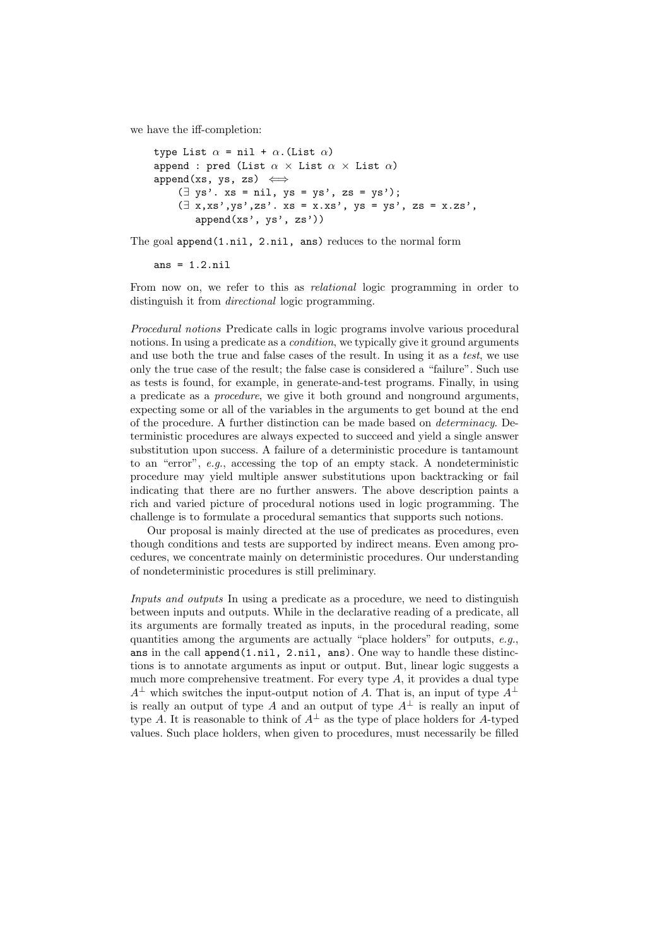we have the iff-completion:

```
type List \alpha = nil + \alpha. (List \alpha)
append : pred (List \alpha \times List \alpha \times List \alpha)
append(xs, ys, zs) \iff(\exists \text{ys}'. \text{xs} = \text{nil}, \text{ys} = \text{ys}', \text{zs} = \text{ys}');(\exists x, xs', ys', zs'. xs = x.xs', ys = ys', zs = x.zs',append(xs', ys', zs'))
```
The goal append(1.nil, 2.nil, ans) reduces to the normal form

ans  $= 1.2$ .nil

From now on, we refer to this as relational logic programming in order to distinguish it from *directional* logic programming.

Procedural notions Predicate calls in logic programs involve various procedural notions. In using a predicate as a *condition*, we typically give it ground arguments and use both the true and false cases of the result. In using it as a test, we use only the true case of the result; the false case is considered a "failure". Such use as tests is found, for example, in generate-and-test programs. Finally, in using a predicate as a procedure, we give it both ground and nonground arguments, expecting some or all of the variables in the arguments to get bound at the end of the procedure. A further distinction can be made based on determinacy. Deterministic procedures are always expected to succeed and yield a single answer substitution upon success. A failure of a deterministic procedure is tantamount to an "error",  $e.g.,$  accessing the top of an empty stack. A nondeterministic procedure may yield multiple answer substitutions upon backtracking or fail indicating that there are no further answers. The above description paints a rich and varied picture of procedural notions used in logic programming. The challenge is to formulate a procedural semantics that supports such notions.

Our proposal is mainly directed at the use of predicates as procedures, even though conditions and tests are supported by indirect means. Even among procedures, we concentrate mainly on deterministic procedures. Our understanding of nondeterministic procedures is still preliminary.

Inputs and outputs In using a predicate as a procedure, we need to distinguish between inputs and outputs. While in the declarative reading of a predicate, all its arguments are formally treated as inputs, in the procedural reading, some quantities among the arguments are actually "place holders" for outputs,  $e.g.,$ ans in the call append $(1.nil, 2.nil, ans)$ . One way to handle these distinctions is to annotate arguments as input or output. But, linear logic suggests a much more comprehensive treatment. For every type A, it provides a dual type  $A^{\perp}$  which switches the input-output notion of A. That is, an input of type  $A^{\perp}$ is really an output of type A and an output of type  $A^{\perp}$  is really an input of type A. It is reasonable to think of  $A^{\perp}$  as the type of place holders for A-typed values. Such place holders, when given to procedures, must necessarily be filled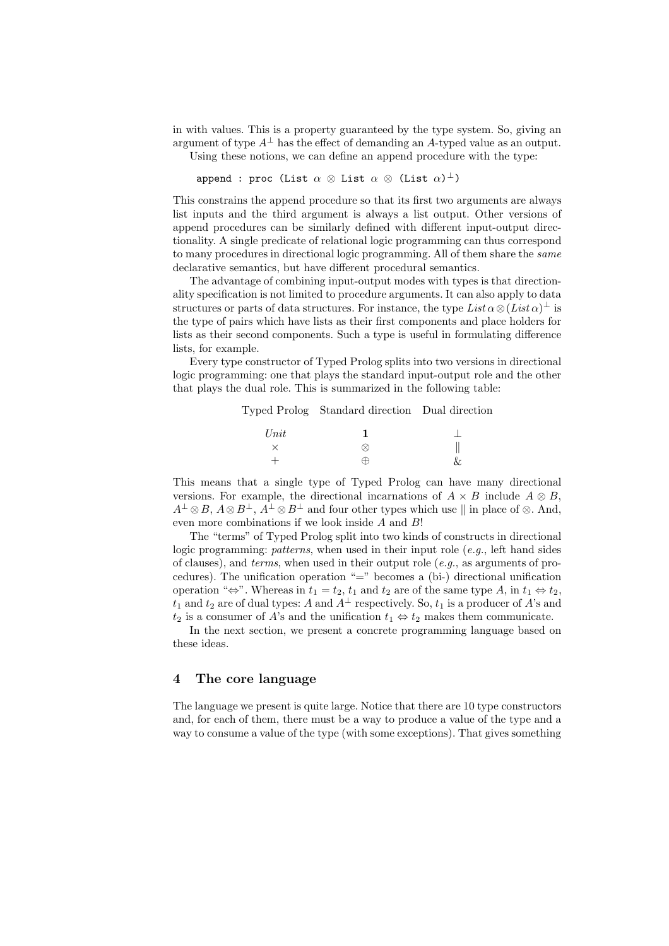in with values. This is a property guaranteed by the type system. So, giving an argument of type  $A^{\perp}$  has the effect of demanding an A-typed value as an output. Using these notions, we can define an append procedure with the type:

append : proc (List  $\alpha \, \otimes \,$  List  $\alpha \, \otimes \,$  (List  $\alpha) ^{\perp})$ 

This constrains the append procedure so that its first two arguments are always list inputs and the third argument is always a list output. Other versions of append procedures can be similarly defined with different input-output directionality. A single predicate of relational logic programming can thus correspond to many procedures in directional logic programming. All of them share the same declarative semantics, but have different procedural semantics.

The advantage of combining input-output modes with types is that directionality specification is not limited to procedure arguments. It can also apply to data structures or parts of data structures. For instance, the type  $List \alpha \otimes (List \alpha)^{\perp}$  is the type of pairs which have lists as their first components and place holders for lists as their second components. Such a type is useful in formulating difference lists, for example.

Every type constructor of Typed Prolog splits into two versions in directional logic programming: one that plays the standard input-output role and the other that plays the dual role. This is summarized in the following table:

Typed Prolog Standard direction Dual direction

| Unit  |                   |   |
|-------|-------------------|---|
|       |                   |   |
| $\pm$ | $\leftrightarrow$ | & |

This means that a single type of Typed Prolog can have many directional versions. For example, the directional incarnations of  $A \times B$  include  $A \otimes B$ ,  $A^{\perp} \otimes B$ ,  $A \otimes B^{\perp}$ ,  $A^{\perp} \otimes B^{\perp}$  and four other types which use  $\parallel$  in place of  $\otimes$ . And, even more combinations if we look inside A and B!

The "terms" of Typed Prolog split into two kinds of constructs in directional logic programming: *patterns*, when used in their input role  $(e.g.,\,left.\mathrm{left\; hand sides$ of clauses), and terms, when used in their output role (e.g., as arguments of procedures). The unification operation "=" becomes a (bi-) directional unification operation " $\Leftrightarrow$ ". Whereas in  $t_1 = t_2$ ,  $t_1$  and  $t_2$  are of the same type A, in  $t_1 \Leftrightarrow t_2$ ,  $t_1$  and  $t_2$  are of dual types: A and  $A^{\perp}$  respectively. So,  $t_1$  is a producer of A's and  $t_2$  is a consumer of A's and the unification  $t_1 \Leftrightarrow t_2$  makes them communicate.

In the next section, we present a concrete programming language based on these ideas.

# 4 The core language

The language we present is quite large. Notice that there are 10 type constructors and, for each of them, there must be a way to produce a value of the type and a way to consume a value of the type (with some exceptions). That gives something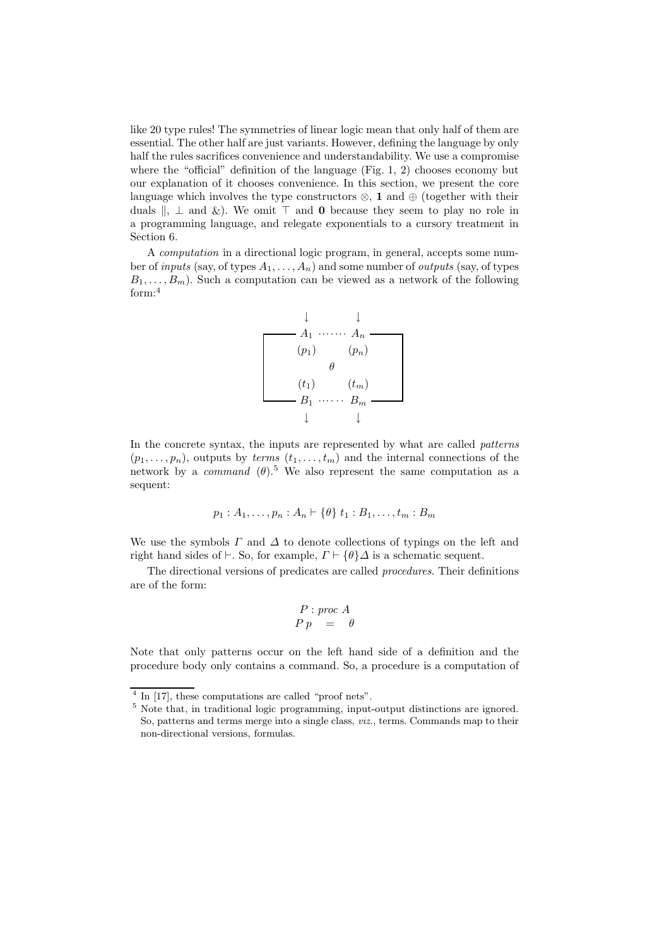like 20 type rules! The symmetries of linear logic mean that only half of them are essential. The other half are just variants. However, defining the language by only half the rules sacrifices convenience and understandability. We use a compromise where the "official" definition of the language (Fig. 1, 2) chooses economy but our explanation of it chooses convenience. In this section, we present the core language which involves the type constructors  $\otimes$ , 1 and  $\oplus$  (together with their duals  $\parallel$ ,  $\perp$  and  $\&$ ). We omit  $\top$  and 0 because they seem to play no role in a programming language, and relegate exponentials to a cursory treatment in Section 6.

A computation in a directional logic program, in general, accepts some number of *inputs* (say, of types  $A_1, \ldots, A_n$ ) and some number of *outputs* (say, of types  $B_1, \ldots, B_m$ ). Such a computation can be viewed as a network of the following form:<sup>4</sup>



In the concrete syntax, the inputs are represented by what are called patterns  $(p_1, \ldots, p_n)$ , outputs by *terms*  $(t_1, \ldots, t_m)$  and the internal connections of the network by a *command*  $(\theta)$ <sup>5</sup>. We also represent the same computation as a sequent:

$$
p_1 : A_1, \ldots, p_n : A_n \vdash \{\theta\} \ t_1 : B_1, \ldots, t_m : B_m
$$

We use the symbols  $\Gamma$  and  $\Delta$  to denote collections of typings on the left and right hand sides of  $\vdash$ . So, for example,  $\Gamma \vdash \{\theta\}\Delta$  is a schematic sequent.

The directional versions of predicates are called procedures. Their definitions are of the form:

$$
\begin{array}{c}\nP : proc A \\
P p = \theta\n\end{array}
$$

Note that only patterns occur on the left hand side of a definition and the procedure body only contains a command. So, a procedure is a computation of

<sup>&</sup>lt;sup>4</sup> In [17], these computations are called "proof nets".

<sup>5</sup> Note that, in traditional logic programming, input-output distinctions are ignored. So, patterns and terms merge into a single class, *viz.*, terms. Commands map to their non-directional versions, formulas.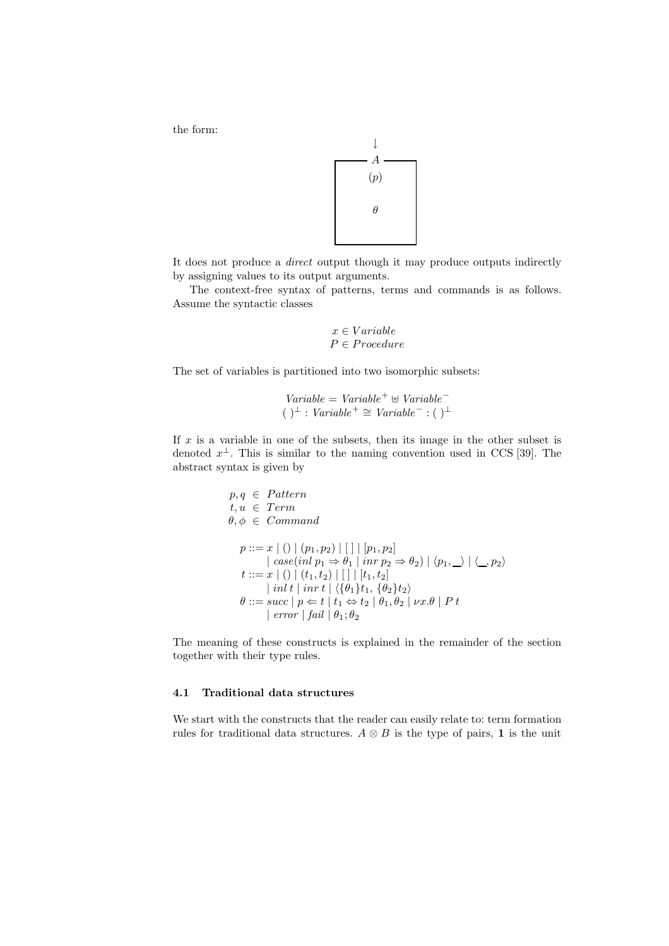the form:



It does not produce a direct output though it may produce outputs indirectly by assigning values to its output arguments.

The context-free syntax of patterns, terms and commands is as follows. Assume the syntactic classes

$$
\begin{array}{c}x \in Variable \\ P \in Procedure \end{array}
$$

The set of variables is partitioned into two isomorphic subsets:

Variable = Variable<sup>+</sup> 
$$
\oplus
$$
 Variable<sup>-</sup>  
( ) <sup>$\perp$</sup>  : Variable <sup>$+$</sup>   $\cong$  Variable<sup>-</sup> : ( ) <sup>$\perp$</sup> 

If  $x$  is a variable in one of the subsets, then its image in the other subset is denoted  $x^{\perp}$ . This is similar to the naming convention used in CCS [39]. The abstract syntax is given by

$$
p, q \in Pattern
$$
  
\n $t, u \in Term$   
\n $\theta, \phi \in Command$   
\n $p ::= x \mid () \mid (p_1, p_2) \mid [] \mid [p_1, p_2]$   
\n $\mid case(inl p_1 \Rightarrow \theta_1 \mid inr p_2 \Rightarrow \theta_2) \mid \langle p_1, \_\rangle \mid \langle \_\_ p_2 \rangle$   
\n $t ::= x \mid () \mid (t_1, t_2) \mid [] \mid [t_1, t_2]$   
\n $\mid inl t \mid inr t \mid \langle \{\theta_1\}t_1, \{\theta_2\}t_2 \rangle$   
\n $\theta ::= succ \mid p \Leftarrow t \mid t_1 \Leftrightarrow t_2 \mid \theta_1, \theta_2 \mid \nu x. \theta \mid P t$   
\n $\mid error \mid fail \mid \theta_1; \theta_2$ 

The meaning of these constructs is explained in the remainder of the section together with their type rules.

# 4.1 Traditional data structures

We start with the constructs that the reader can easily relate to: term formation rules for traditional data structures.  $A \otimes B$  is the type of pairs, 1 is the unit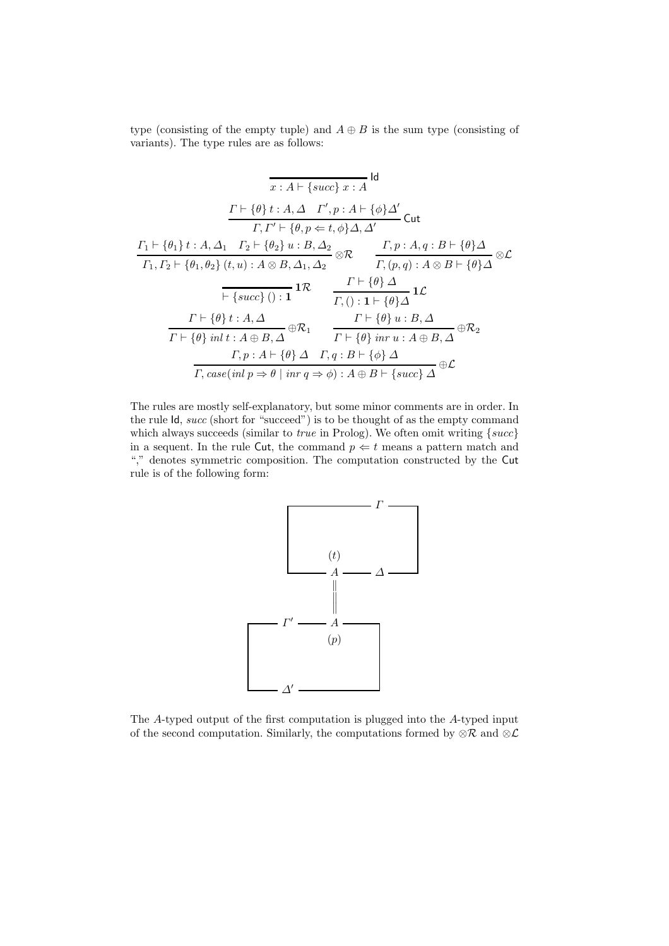type (consisting of the empty tuple) and  $A \oplus B$  is the sum type (consisting of variants). The type rules are as follows:

$$
\frac{\n}{x:A \vdash \{succ\} x:A} \text{Id}
$$
\n
$$
\frac{\Gamma \vdash \{\theta\} t:A,\Delta \quad \Gamma',p:A \vdash \{\phi\}\Delta'}{\Gamma,\Gamma' \vdash \{\theta,p \Leftarrow t,\phi\}\Delta,\Delta'} \text{Cut}
$$
\n
$$
\frac{\Gamma_1 \vdash \{\theta_1\} t:A,\Delta_1 \quad \Gamma_2 \vdash \{\theta_2\} u:B,\Delta_2}{\Gamma_1,\Gamma_2 \vdash \{\theta_1,\theta_2\} (t,u):A \otimes B,\Delta_1,\Delta_2} \otimes \mathcal{R} \qquad \frac{\Gamma, p:A,q:B \vdash \{\theta\}\Delta}{\Gamma,(p,q):A \otimes B \vdash \{\theta\}\Delta} \otimes \mathcal{L}
$$
\n
$$
\frac{\Gamma \vdash \{\theta\} \Delta}{\vdash \{succ\} (t,u):A \otimes B,\Delta_1,\Delta_2} \qquad \frac{\Gamma \vdash \{\theta\} \Delta}{\Gamma,(0:1 \vdash \{\theta\}\Delta)} \text{1C}
$$
\n
$$
\frac{\Gamma \vdash \{\theta\} \bot \vdash A,\Delta}{\Gamma \vdash \{\theta\} \text{ in } t:A \oplus B,\Delta} \oplus \mathcal{R}_1 \qquad \frac{\Gamma \vdash \{\theta\} \ u:B,\Delta}{\Gamma \vdash \{\theta\} \text{ in } r u:A \oplus B,\Delta} \oplus \mathcal{R}_2}
$$
\n
$$
\frac{\Gamma, p:A \vdash \{\theta\} \Delta \quad \Gamma, q:B \vdash \{\phi\}\Delta}{\Gamma, case(\text{in } p \Rightarrow \theta \mid \text{in } r q \Rightarrow \phi):A \oplus B \vdash \{succ\} \Delta} \oplus \mathcal{L}
$$

The rules are mostly self-explanatory, but some minor comments are in order. In the rule Id, succ (short for "succeed") is to be thought of as the empty command which always succeeds (similar to *true* in Prolog). We often omit writing  $\{succ\}$ in a sequent. In the rule Cut, the command  $p \leftarrow t$  means a pattern match and "," denotes symmetric composition. The computation constructed by the Cut rule is of the following form:



The A-typed output of the first computation is plugged into the A-typed input of the second computation. Similarly, the computations formed by  $\otimes \mathcal{R}$  and  $\otimes \mathcal{L}$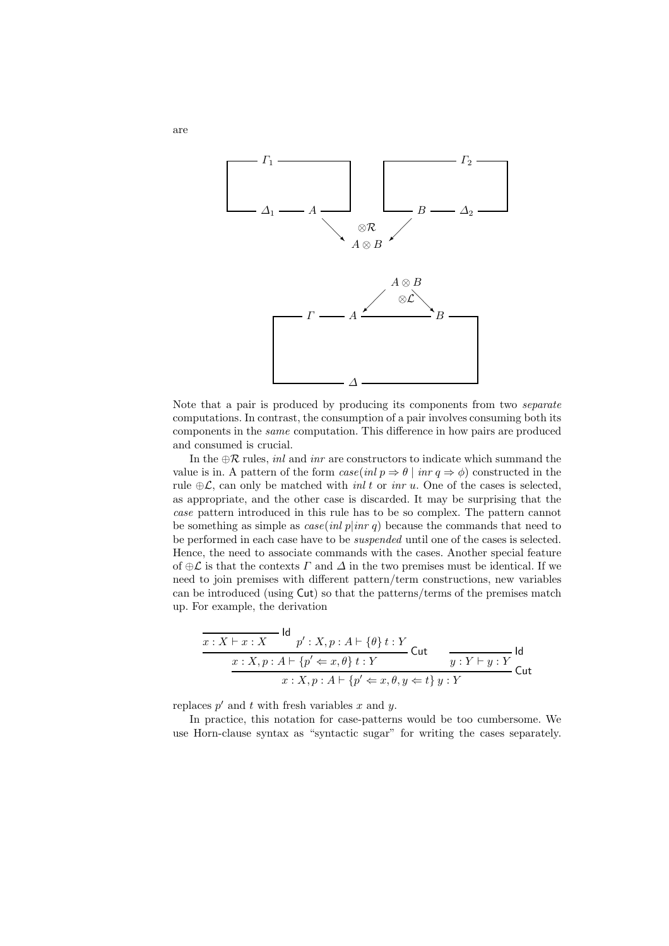

Note that a pair is produced by producing its components from two separate computations. In contrast, the consumption of a pair involves consuming both its components in the same computation. This difference in how pairs are produced and consumed is crucial.

In the  $\oplus \mathcal{R}$  rules, *inl* and *inr* are constructors to indicate which summand the value is in. A pattern of the form  $case(inl p \Rightarrow \theta | inr q \Rightarrow \phi)$  constructed in the rule  $\oplus \mathcal{L}$ , can only be matched with *inl t* or *inr u*. One of the cases is selected, as appropriate, and the other case is discarded. It may be surprising that the case pattern introduced in this rule has to be so complex. The pattern cannot be something as simple as  $case(inl\,plinra)$  because the commands that need to be performed in each case have to be suspended until one of the cases is selected. Hence, the need to associate commands with the cases. Another special feature of  $\oplus \mathcal{L}$  is that the contexts  $\varGamma$  and  $\varDelta$  in the two premises must be identical. If we need to join premises with different pattern/term constructions, new variables can be introduced (using Cut) so that the patterns/terms of the premises match up. For example, the derivation

$$
\frac{x: X \vdash x: X \qquad \text{Id} \quad p': X, p: A \vdash \{\theta\} \ t: Y}{x: X, p: A \vdash \{p' \Leftarrow x, \theta\} \ t: Y} \text{Cut} \qquad \frac{x: X, p: A \vdash \{p' \Leftarrow x, \theta\} \ t: Y}{x: X, p: A \vdash \{p' \Leftarrow x, \theta, y \Leftarrow t\} \ y: Y} \text{Cut}
$$

replaces  $p'$  and t with fresh variables x and y.

In practice, this notation for case-patterns would be too cumbersome. We use Horn-clause syntax as "syntactic sugar" for writing the cases separately.

are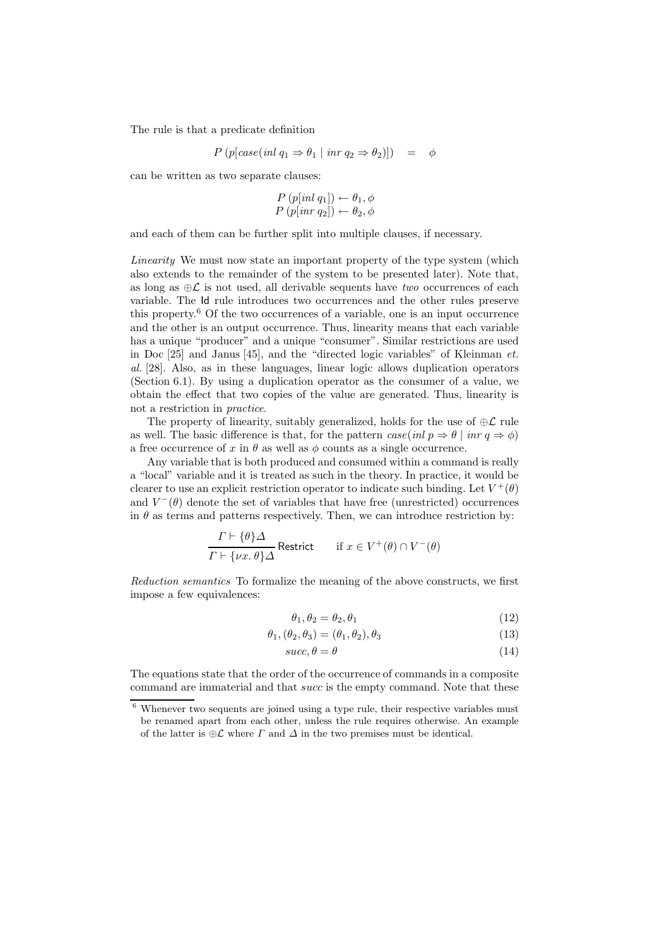The rule is that a predicate definition

$$
P (p[case (inl q_1 \Rightarrow \theta_1 | inr q_2 \Rightarrow \theta_2)]) = \phi
$$

can be written as two separate clauses:

$$
P (p [inl q_1]) \leftarrow \theta_1, \phi
$$
  

$$
P (p [inr q_2]) \leftarrow \theta_2, \phi
$$

and each of them can be further split into multiple clauses, if necessary.

Linearity We must now state an important property of the type system (which also extends to the remainder of the system to be presented later). Note that, as long as  $\oplus \mathcal{L}$  is not used, all derivable sequents have two occurrences of each variable. The Id rule introduces two occurrences and the other rules preserve this property. <sup>6</sup> Of the two occurrences of a variable, one is an input occurrence and the other is an output occurrence. Thus, linearity means that each variable has a unique "producer" and a unique "consumer". Similar restrictions are used in Doc [25] and Janus [45], and the "directed logic variables" of Kleinman et. al. [28]. Also, as in these languages, linear logic allows duplication operators (Section 6.1). By using a duplication operator as the consumer of a value, we obtain the effect that two copies of the value are generated. Thus, linearity is not a restriction in practice.

The property of linearity, suitably generalized, holds for the use of  $\oplus \mathcal{L}$  rule as well. The basic difference is that, for the pattern  $case(inl p \Rightarrow \theta \mid inr q \Rightarrow \phi)$ a free occurrence of x in  $\theta$  as well as  $\phi$  counts as a single occurrence.

Any variable that is both produced and consumed within a command is really a "local" variable and it is treated as such in the theory. In practice, it would be clearer to use an explicit restriction operator to indicate such binding. Let  $V^+(\theta)$ and  $V^-(\theta)$  denote the set of variables that have free (unrestricted) occurrences in  $\theta$  as terms and patterns respectively. Then, we can introduce restriction by:

$$
\frac{\Gamma \vdash \{\theta\} \Delta}{\Gamma \vdash \{\nu x. \theta\} \Delta} \text{Restrict} \qquad \text{if } x \in V^+(\theta) \cap V^-(\theta)
$$

Reduction semantics To formalize the meaning of the above constructs, we first impose a few equivalences:

$$
\theta_1, \theta_2 = \theta_2, \theta_1 \tag{12}
$$

$$
\theta_1, (\theta_2, \theta_3) = (\theta_1, \theta_2), \theta_3 \tag{13}
$$

$$
succ, \theta = \theta \tag{14}
$$

The equations state that the order of the occurrence of commands in a composite command are immaterial and that succ is the empty command. Note that these

 $\frac{6}{6}$  Whenever two sequents are joined using a type rule, their respective variables must be renamed apart from each other, unless the rule requires otherwise. An example of the latter is  $\oplus \mathcal{L}$  where  $\Gamma$  and  $\Delta$  in the two premises must be identical.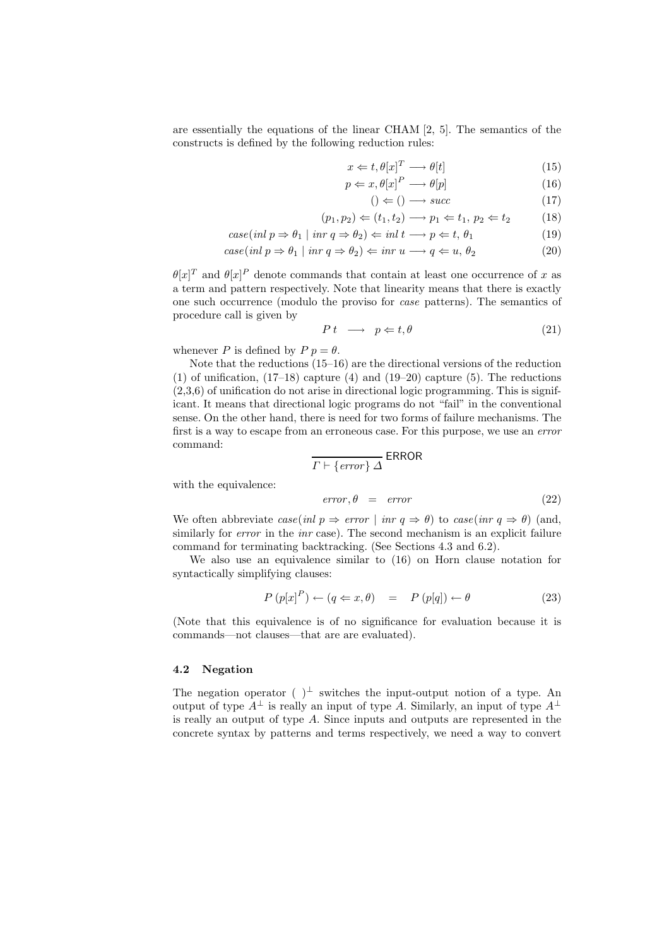are essentially the equations of the linear CHAM [2, 5]. The semantics of the constructs is defined by the following reduction rules:

$$
x \Leftarrow t, \theta[x]^T \longrightarrow \theta[t] \tag{15}
$$

$$
p \Leftarrow x, \theta[x]^P \longrightarrow \theta[p] \tag{16}
$$

$$
() \Leftarrow () \longrightarrow succ \tag{17}
$$

$$
(p_1, p_2) \Leftarrow (t_1, t_2) \longrightarrow p_1 \Leftarrow t_1, p_2 \Leftarrow t_2 \tag{18}
$$

$$
case(inl\ p \Rightarrow \theta_1 \mid inr\ q \Rightarrow \theta_2) \Leftarrow inl\ t \longrightarrow p \Leftarrow t, \theta_1
$$
\n(19)

$$
case(inl \ p \Rightarrow \theta_1 \mid inr \ q \Rightarrow \theta_2) \Leftarrow inr \ u \longrightarrow q \Leftarrow u, \ \theta_2 \tag{20}
$$

 $\theta[x]^T$  and  $\theta[x]^P$  denote commands that contain at least one occurrence of x as a term and pattern respectively. Note that linearity means that there is exactly one such occurrence (modulo the proviso for case patterns). The semantics of procedure call is given by

$$
P t \longrightarrow p \Leftarrow t, \theta \tag{21}
$$

whenever P is defined by  $P p = \theta$ .

Note that the reductions (15–16) are the directional versions of the reduction (1) of unification,  $(17-18)$  capture (4) and  $(19-20)$  capture (5). The reductions  $(2.3.6)$  of unification do not arise in directional logic programming. This is significant. It means that directional logic programs do not "fail" in the conventional sense. On the other hand, there is need for two forms of failure mechanisms. The first is a way to escape from an erroneous case. For this purpose, we use an error command:

$$
\overline{\Gamma \vdash \{error\} \Delta} \text{ERROR}
$$
\n
$$
error. \theta = error \qquad (22)
$$

with the equivalence:

We often abbreviate  $case(inl\ p \Rightarrow error \mid inr\ q \Rightarrow \theta)$  to  $case(inr\ q \Rightarrow \theta)$  (and, similarly for error in the inr case). The second mechanism is an explicit failure command for terminating backtracking. (See Sections 4.3 and 6.2).

We also use an equivalence similar to (16) on Horn clause notation for syntactically simplifying clauses:

$$
P (p[x]^P) \leftarrow (q \Leftarrow x, \theta) = P (p[q]) \leftarrow \theta \tag{23}
$$

(Note that this equivalence is of no significance for evaluation because it is commands—not clauses—that are are evaluated).

# 4.2 Negation

The negation operator ( $)$ <sup> $\perp$ </sup> switches the input-output notion of a type. An output of type  $A^{\perp}$  is really an input of type A. Similarly, an input of type  $A^{\perp}$ is really an output of type A. Since inputs and outputs are represented in the concrete syntax by patterns and terms respectively, we need a way to convert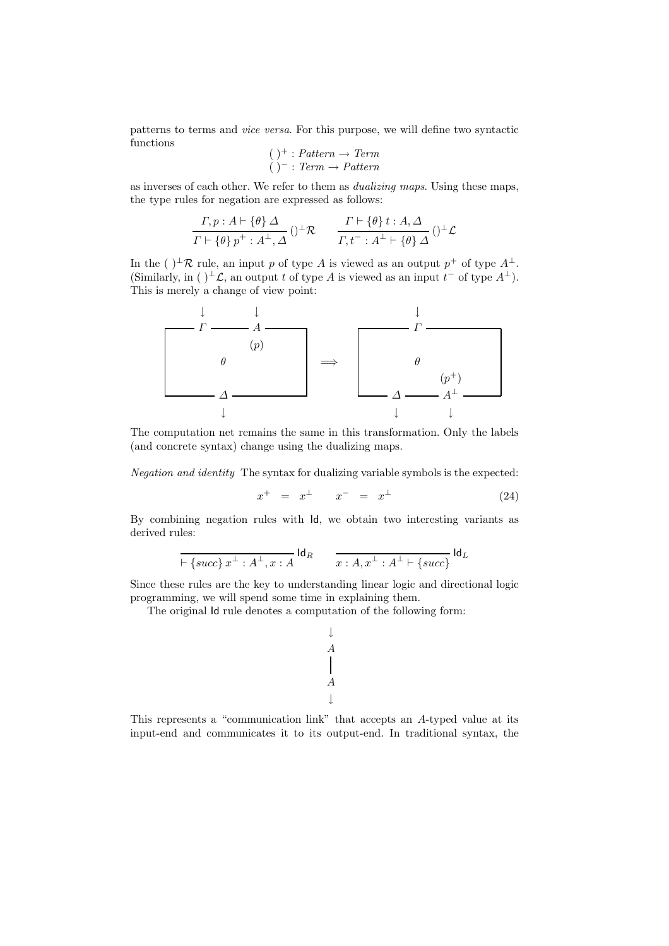patterns to terms and vice versa. For this purpose, we will define two syntactic functions

$$
()^{+}: Pattern \rightarrow Term ( )^{-}: Term \rightarrow Pattern
$$

as inverses of each other. We refer to them as dualizing maps. Using these maps, the type rules for negation are expressed as follows:

$$
\frac{\Gamma, p: A \vdash \{\theta\} \; \Delta}{\Gamma \vdash \{\theta\} \; p^{+}: A^{\perp}, \Delta} \; (\begin{matrix} \end{matrix})^{\perp} \mathcal{R} \qquad \frac{\Gamma \vdash \{\theta\} \; t: A, \Delta}{\Gamma, t^{-}: A^{\perp} \vdash \{\theta\} \; \Delta} \; (\begin{matrix} \end{matrix})^{\perp} \mathcal{L}
$$

In the ( $\bigcup^{\perp} \mathcal{R}$  rule, an input p of type A is viewed as an output  $p^+$  of type  $A^{\perp}$ . (Similarly, in  $( )^{\perp} \mathcal{L}$ , an output t of type A is viewed as an input  $t^-$  of type  $A^{\perp}$ ). This is merely a change of view point:



The computation net remains the same in this transformation. Only the labels (and concrete syntax) change using the dualizing maps.

Negation and identity The syntax for dualizing variable symbols is the expected:

$$
x^+ = x^{\perp} \qquad x^- = x^{\perp} \tag{24}
$$

By combining negation rules with Id, we obtain two interesting variants as derived rules:

$$
\overline{\vdash \{\mathit{succ}\} \ x^\perp : A^\perp, x : A} \ \mathsf{Id}_R \qquad \overline{x : A, x^\perp : A^\perp \vdash \{\mathit{succ}\} } \ \mathsf{Id}_L
$$

Since these rules are the key to understanding linear logic and directional logic programming, we will spend some time in explaining them.

The original Id rule denotes a computation of the following form:

$$
\begin{array}{c}\n\downarrow \\
A \\
A \\
\downarrow\n\end{array}
$$

This represents a "communication link" that accepts an A-typed value at its input-end and communicates it to its output-end. In traditional syntax, the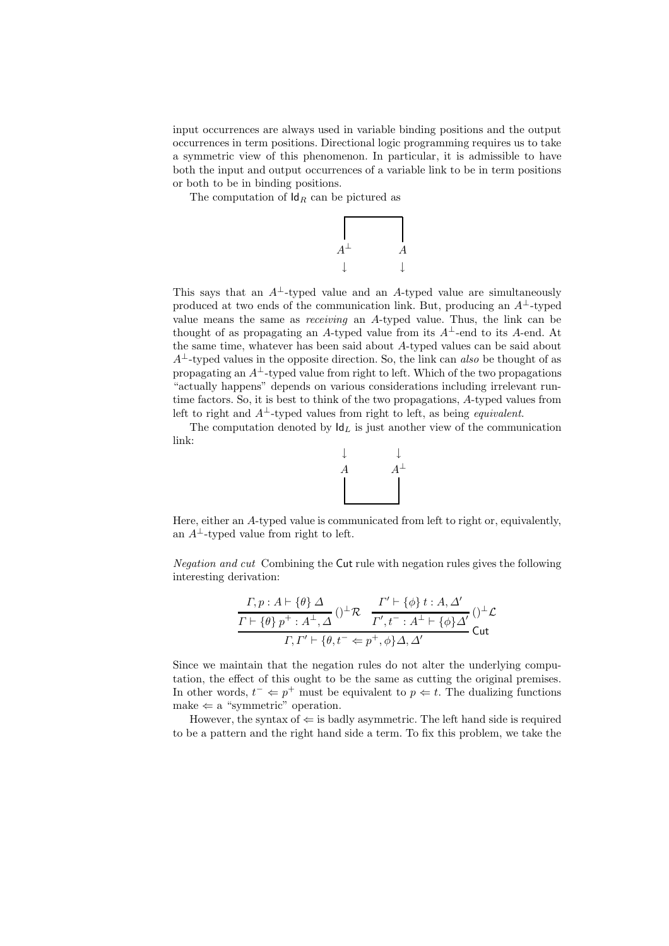input occurrences are always used in variable binding positions and the output occurrences in term positions. Directional logic programming requires us to take a symmetric view of this phenomenon. In particular, it is admissible to have both the input and output occurrences of a variable link to be in term positions or both to be in binding positions.

The computation of  $\mathsf{Id}_R$  can be pictured as



This says that an  $A^{\perp}$ -typed value and an A-typed value are simultaneously produced at two ends of the communication link. But, producing an  $A^{\perp}$ -typed value means the same as receiving an A-typed value. Thus, the link can be thought of as propagating an A-typed value from its  $A^{\perp}$ -end to its A-end. At the same time, whatever has been said about A-typed values can be said about  $A^{\perp}$ -typed values in the opposite direction. So, the link can also be thought of as propagating an  $A^{\perp}$ -typed value from right to left. Which of the two propagations "actually happens" depends on various considerations including irrelevant runtime factors. So, it is best to think of the two propagations, A-typed values from left to right and  $A^{\perp}$ -typed values from right to left, as being *equivalent*.

The computation denoted by  $\mathsf{Id}_L$  is just another view of the communication link:



Here, either an A-typed value is communicated from left to right or, equivalently, an  $A^{\perp}$ -typed value from right to left.

Negation and cut Combining the Cut rule with negation rules gives the following interesting derivation:

$$
\frac{\Gamma, p: A \vdash \{\theta\} \; \varDelta}{\Gamma \vdash \{\theta\} \; p^+: A^\perp, \varDelta} \; ()^\perp \mathcal{R} \quad \frac{\Gamma' \vdash \{\phi\} \; t: A, \varDelta'}{\Gamma', t^-. A^\perp \vdash \{\phi\} \varDelta'} \; ()^\perp \mathcal{L} \; }{\Gamma, \Gamma' \vdash \{\theta, t^- \Leftarrow p^+, \phi\} \varDelta, \varDelta' } \; \mathsf{Cut}
$$

Since we maintain that the negation rules do not alter the underlying computation, the effect of this ought to be the same as cutting the original premises. In other words,  $t^{-} \Leftarrow p^{+}$  must be equivalent to  $p \Leftarrow t$ . The dualizing functions make  $\Leftarrow$  a "symmetric" operation.

However, the syntax of  $\Leftarrow$  is badly asymmetric. The left hand side is required to be a pattern and the right hand side a term. To fix this problem, we take the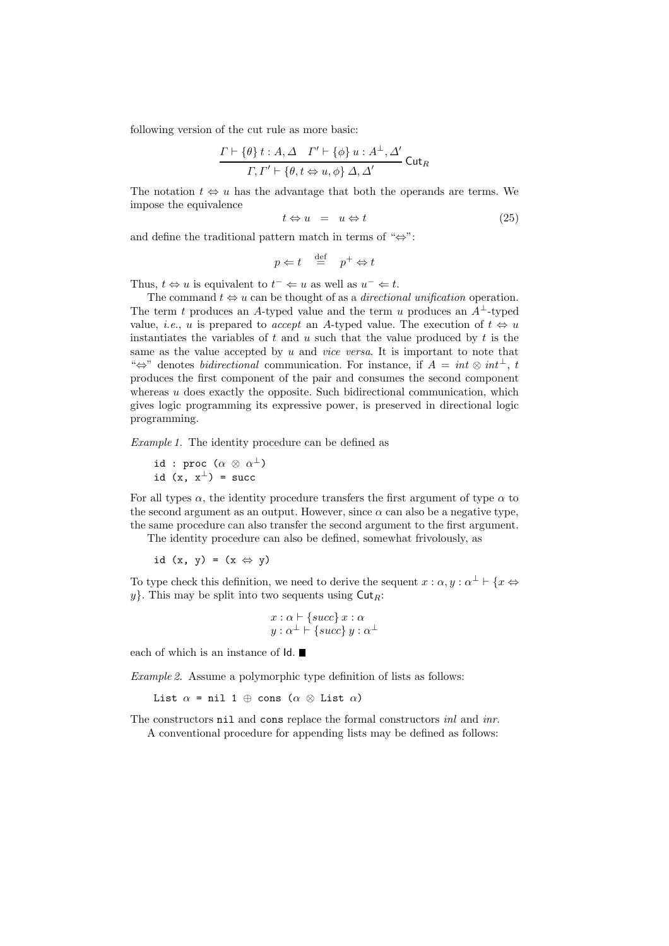following version of the cut rule as more basic:

$$
\frac{\Gamma \vdash \{\theta\} \, t : A, \Delta \quad \Gamma' \vdash \{\phi\} \, u : A^{\perp}, \Delta'}{\Gamma, \Gamma' \vdash \{\theta, t \Leftrightarrow u, \phi\} \, \Delta, \Delta'}
$$
Cut<sub>R</sub>

The notation  $t \Leftrightarrow u$  has the advantage that both the operands are terms. We impose the equivalence

$$
t \Leftrightarrow u = u \Leftrightarrow t \tag{25}
$$

and define the traditional pattern match in terms of " $\Leftrightarrow$ ":

$$
p \Leftarrow t \quad \stackrel{\text{def}}{=} \quad p^+ \Leftrightarrow t
$$

Thus,  $t \Leftrightarrow u$  is equivalent to  $t^- \Leftarrow u$  as well as  $u^- \Leftarrow t$ .

The command  $t \Leftrightarrow u$  can be thought of as a *directional unification* operation. The term t produces an A-typed value and the term u produces an  $A^{\perp}$ -typed value, *i.e.*, u is prepared to *accept* an A-typed value. The execution of  $t \Leftrightarrow u$ instantiates the variables of  $t$  and  $u$  such that the value produced by  $t$  is the same as the value accepted by  $u$  and *vice versa*. It is important to note that " $\Leftrightarrow$ " denotes *bidirectional* communication. For instance, if  $A = int \otimes int^{\perp}$ , t produces the first component of the pair and consumes the second component whereas  $u$  does exactly the opposite. Such bidirectional communication, which gives logic programming its expressive power, is preserved in directional logic programming.

Example 1. The identity procedure can be defined as

id : proc ( $\alpha \: \otimes \: \alpha^{\perp}$ ) id  $(x, x^{\perp})$  = succ

For all types  $\alpha$ , the identity procedure transfers the first argument of type  $\alpha$  to the second argument as an output. However, since  $\alpha$  can also be a negative type, the same procedure can also transfer the second argument to the first argument.

The identity procedure can also be defined, somewhat frivolously, as

id  $(x, y) = (x \Leftrightarrow y)$ 

To type check this definition, we need to derive the sequent  $x : \alpha, y : \alpha^{\perp} \vdash \{x \Leftrightarrow$  $y$ . This may be split into two sequents using  $\text{Cut}_R$ :

$$
x : \alpha \vdash \{succ\} x : \alpha
$$
  

$$
y : \alpha^{\perp} \vdash \{succ\} y : \alpha^{\perp}
$$

each of which is an instance of Id.

Example 2. Assume a polymorphic type definition of lists as follows:

List  $\alpha$  = nil 1  $\oplus$  cons ( $\alpha \otimes$  List  $\alpha$ )

The constructors nil and cons replace the formal constructors inl and inr. A conventional procedure for appending lists may be defined as follows: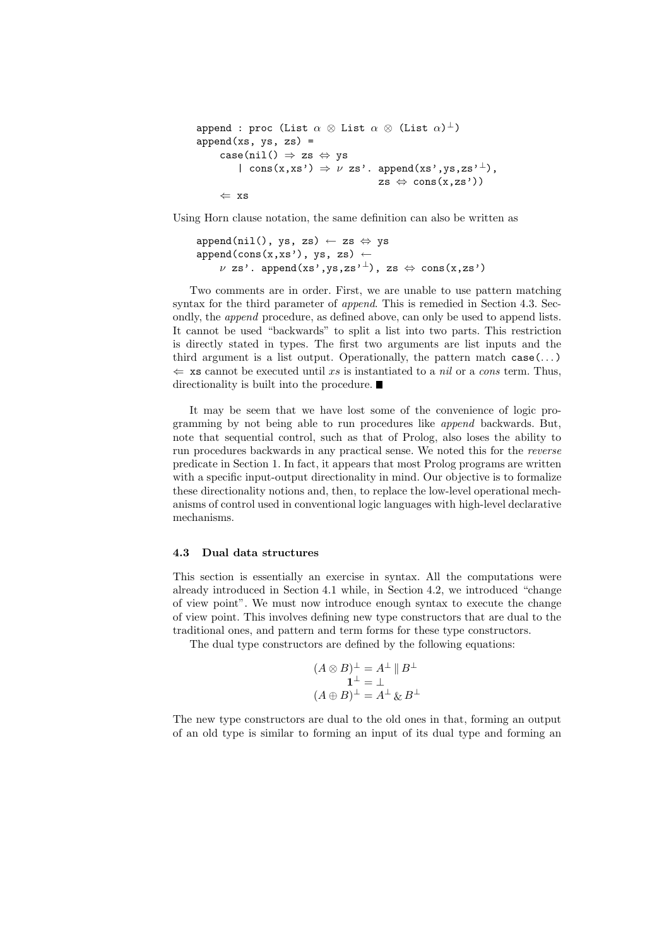```
append : proc (List \alpha \, \otimes \, List \alpha \, \otimes \, (List \alpha) ^{\perp})append(xs, ys, zs) =case(nil() \Rightarrow zs \Leftrightarrow vs|\text{cons}(x,xs')| \Rightarrow v \text{zs'}. append(xs',ys,zs'<sup>1</sup>),
                                                      zs \Leftrightarrow \text{cons}(x,zs'))⇐ xs
```
Using Horn clause notation, the same definition can also be written as

```
append(nil(), ys, zs) \leftarrow zs \Leftrightarrow ysappend(cons(x, xs'), ys, zs) \leftarrow\nu zs'. append(xs',ys,zs'<sup>⊥</sup>), zs \Leftrightarrow cons(x,zs')
```
Two comments are in order. First, we are unable to use pattern matching syntax for the third parameter of *append*. This is remedied in Section 4.3. Secondly, the append procedure, as defined above, can only be used to append lists. It cannot be used "backwards" to split a list into two parts. This restriction is directly stated in types. The first two arguments are list inputs and the third argument is a list output. Operationally, the pattern match  $case(...)$  $\Leftarrow$  xs cannot be executed until xs is instantiated to a *nil* or a *cons* term. Thus, directionality is built into the procedure.  $\blacksquare$ 

It may be seem that we have lost some of the convenience of logic programming by not being able to run procedures like append backwards. But, note that sequential control, such as that of Prolog, also loses the ability to run procedures backwards in any practical sense. We noted this for the reverse predicate in Section 1. In fact, it appears that most Prolog programs are written with a specific input-output directionality in mind. Our objective is to formalize these directionality notions and, then, to replace the low-level operational mechanisms of control used in conventional logic languages with high-level declarative mechanisms.

#### 4.3 Dual data structures

This section is essentially an exercise in syntax. All the computations were already introduced in Section 4.1 while, in Section 4.2, we introduced "change of view point". We must now introduce enough syntax to execute the change of view point. This involves defining new type constructors that are dual to the traditional ones, and pattern and term forms for these type constructors.

The dual type constructors are defined by the following equations:

$$
(A \otimes B)^{\perp} = A^{\perp} \parallel B^{\perp}
$$

$$
1^{\perp} = \perp
$$

$$
(A \oplus B)^{\perp} = A^{\perp} \& B^{\perp}
$$

The new type constructors are dual to the old ones in that, forming an output of an old type is similar to forming an input of its dual type and forming an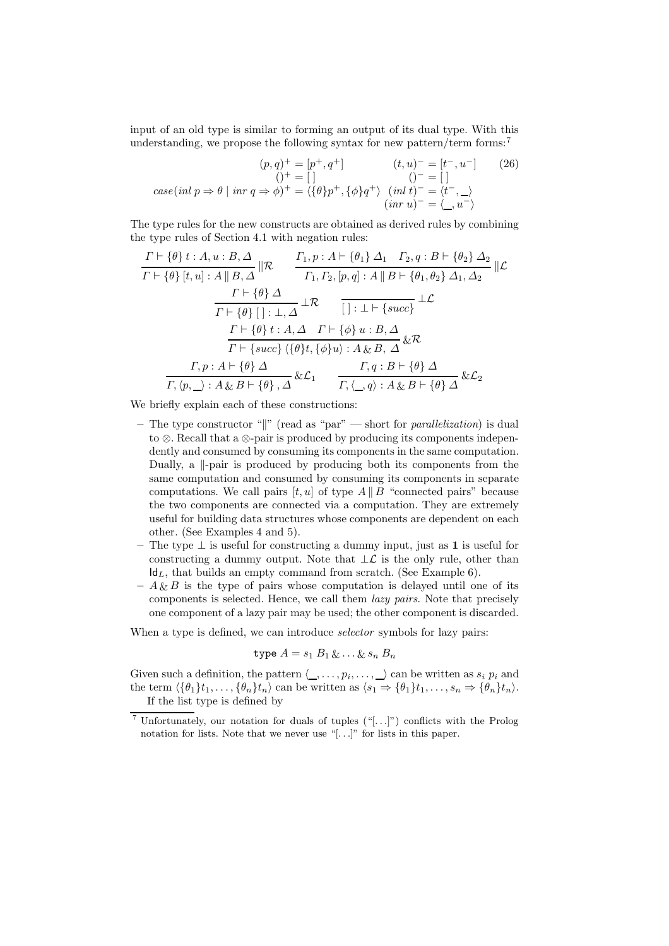input of an old type is similar to forming an output of its dual type. With this understanding, we propose the following syntax for new pattern/term forms:<sup>7</sup>

$$
(p,q)^{+} = [p^{+}, q^{+}] \qquad (t,u)^{-} = [t^{-}, u^{-}] \qquad (26)
$$
  
\n
$$
( )^{+} = [] \qquad ( )^{-} = []
$$
  
\n
$$
case(inl p \Rightarrow \theta \mid inr q \Rightarrow \phi)^{+} = \langle \{\theta\} p^{+}, \{\phi\} q^{+} \rangle \quad (inl t)^{-} = \langle t^{-}, \_ \rangle
$$
  
\n
$$
(inr u)^{-} = \langle \_ , u^{-} \rangle
$$

The type rules for the new constructs are obtained as derived rules by combining the type rules of Section 4.1 with negation rules:

$$
\frac{\Gamma \vdash \{\theta\} t : A, u : B, \Delta}{\Gamma \vdash \{\theta\} [t, u] : A \parallel B, \Delta} \parallel \mathcal{R} \qquad \frac{\Gamma_1, p : A \vdash \{\theta_1\} \Delta_1 \quad \Gamma_2, q : B \vdash \{\theta_2\} \Delta_2}{\Gamma_1, \Gamma_2, [p, q] : A \parallel B \vdash \{\theta_1, \theta_2\} \Delta_1, \Delta_2} \parallel \mathcal{L}
$$
\n
$$
\frac{\Gamma \vdash \{\theta\} \Delta}{\Gamma \vdash \{\theta\} [ \ ]: \bot, \Delta} \perp \mathcal{R} \qquad \boxed{ \ ]: \bot \vdash \{succ\} \bot}
$$
\n
$$
\frac{\Gamma \vdash \{\theta\} t : A, \Delta \quad \Gamma \vdash \{\phi\} u : B, \Delta}{\Gamma \vdash \{succ\} \{succ\} \{\{\theta\} t, \{\phi\} u\} : A \& B, \Delta} \& \mathcal{R}
$$
\n
$$
\frac{\Gamma, p : A \vdash \{\theta\} \Delta}{\Gamma, \langle p, \_\rangle : A \& B \vdash \{\theta\}, \Delta} \& \mathcal{L}_1 \qquad \frac{\Gamma, q : B \vdash \{\theta\} \Delta}{\Gamma, \langle \_\rangle, q \rangle : A \& B \vdash \{\theta\} \Delta} \& \mathcal{L}_2
$$

We briefly explain each of these constructions:

- The type constructor "||" (read as "par" short for *parallelization*) is dual to ⊗. Recall that a ⊗-pair is produced by producing its components independently and consumed by consuming its components in the same computation. Dually, a  $\parallel$ -pair is produced by producing both its components from the same computation and consumed by consuming its components in separate computations. We call pairs  $[t, u]$  of type  $A \parallel B$  "connected pairs" because the two components are connected via a computation. They are extremely useful for building data structures whose components are dependent on each other. (See Examples 4 and 5).
- The type  $\perp$  is useful for constructing a dummy input, just as 1 is useful for constructing a dummy output. Note that  $\bot \mathcal{L}$  is the only rule, other than  $Id_L$ , that builds an empty command from scratch. (See Example 6).
- $A \& B$  is the type of pairs whose computation is delayed until one of its components is selected. Hence, we call them lazy pairs. Note that precisely one component of a lazy pair may be used; the other component is discarded.

When a type is defined, we can introduce *selector* symbols for lazy pairs:

$$
type A = s_1 B_1 \& \dots \& s_n B_n
$$

Given such a definition, the pattern  $\langle \_, \ldots, p_i, \ldots, \_\rangle$  can be written as  $s_i$   $p_i$  and the term  $\langle \{\theta_1\}t_1, \ldots, \{\theta_n\}t_n \rangle$  can be written as  $\langle s_1 \Rightarrow {\theta_1}\}t_1, \ldots, s_n \Rightarrow {\theta_n}\}t_n$ . If the list type is defined by

 $\frac{7}{7}$  Unfortunately, our notation for duals of tuples  $(\text{``}[...]$ ") conflicts with the Prolog notation for lists. Note that we never use " $[\dots]$ " for lists in this paper.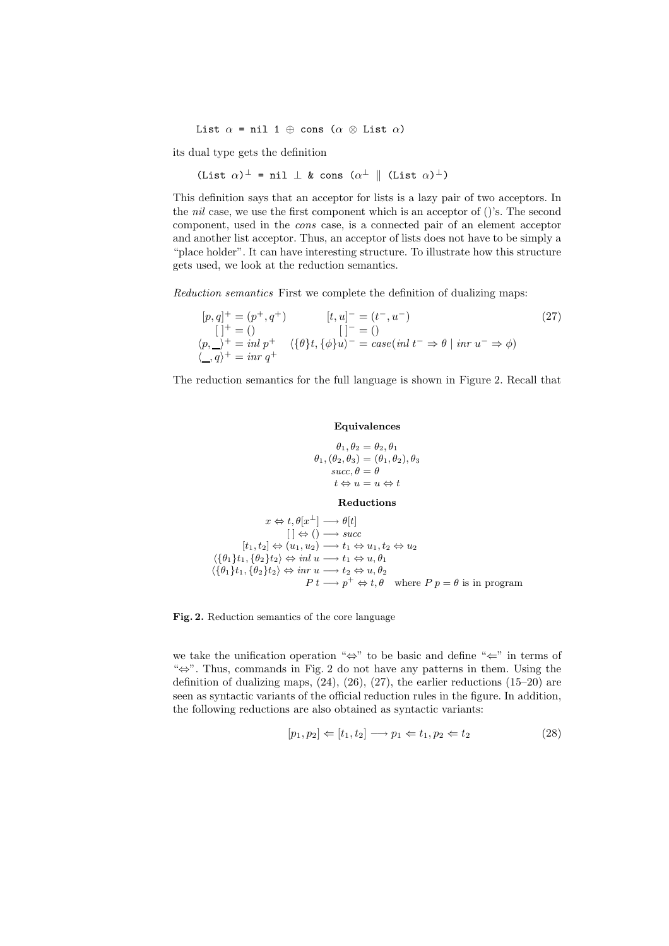List  $\alpha$  = nil 1  $\oplus$  cons ( $\alpha \otimes$  List  $\alpha$ )

its dual type gets the definition

$$
(List \alpha)^{\perp} = nil \perp \& cons (\alpha^{\perp} \parallel (List \alpha)^{\perp})
$$

This definition says that an acceptor for lists is a lazy pair of two acceptors. In the nil case, we use the first component which is an acceptor of ()'s. The second component, used in the cons case, is a connected pair of an element acceptor and another list acceptor. Thus, an acceptor of lists does not have to be simply a "place holder". It can have interesting structure. To illustrate how this structure gets used, we look at the reduction semantics.

Reduction semantics First we complete the definition of dualizing maps:

$$
[p, q]^{+} = (p^{+}, q^{+})
$$

$$
[l^{+} = ()
$$

$$
[l^{+} = ()
$$

$$
\langle p, \_\rangle^{+} = \text{inl } p^{+}
$$

$$
\langle \theta \rangle t, \{\phi\} u \rangle^{-} = \text{case}(\text{inl } t^{-} \Rightarrow \theta \mid \text{inr } u^{-} \Rightarrow \phi)
$$

$$
\langle \_\rangle q \rangle^{+} = \text{inr } q^{+}
$$

$$
(27)
$$

The reduction semantics for the full language is shown in Figure 2. Recall that

Equivalences

$$
\theta_1, \theta_2 = \theta_2, \theta_1
$$
  
\n
$$
\theta_1, (\theta_2, \theta_3) = (\theta_1, \theta_2), \theta_3
$$
  
\n
$$
succ, \theta = \theta
$$
  
\n
$$
t \Leftrightarrow u = u \Leftrightarrow t
$$

Reductions

$$
x \Leftrightarrow t, \theta[x^{\perp}] \longrightarrow \theta[t]
$$
  
\n
$$
[\ ] \Leftrightarrow () \longrightarrow succ
$$
  
\n
$$
[t_1, t_2] \Leftrightarrow (u_1, u_2) \longrightarrow t_1 \Leftrightarrow u_1, t_2 \Leftrightarrow u_2
$$
  
\n
$$
\langle \{\theta_1\}t_1, \{\theta_2\}t_2 \rangle \Leftrightarrow inl \ u \longrightarrow t_1 \Leftrightarrow u, \theta_1
$$
  
\n
$$
\langle \{\theta_1\}t_1, \{\theta_2\}t_2 \rangle \Leftrightarrow inr \ u \longrightarrow t_2 \Leftrightarrow u, \theta_2
$$
  
\n
$$
P \ t \longrightarrow p^+ \Leftrightarrow t, \theta \quad \text{where } P \ p = \theta \text{ is in program}
$$

Fig. 2. Reduction semantics of the core language

we take the unification operation "⇔" to be basic and define "⇐" in terms of "⇔". Thus, commands in Fig. 2 do not have any patterns in them. Using the definition of dualizing maps,  $(24)$ ,  $(26)$ ,  $(27)$ , the earlier reductions  $(15-20)$  are seen as syntactic variants of the official reduction rules in the figure. In addition, the following reductions are also obtained as syntactic variants:

$$
[p_1, p_2] \Leftarrow [t_1, t_2] \longrightarrow p_1 \Leftarrow t_1, p_2 \Leftarrow t_2 \tag{28}
$$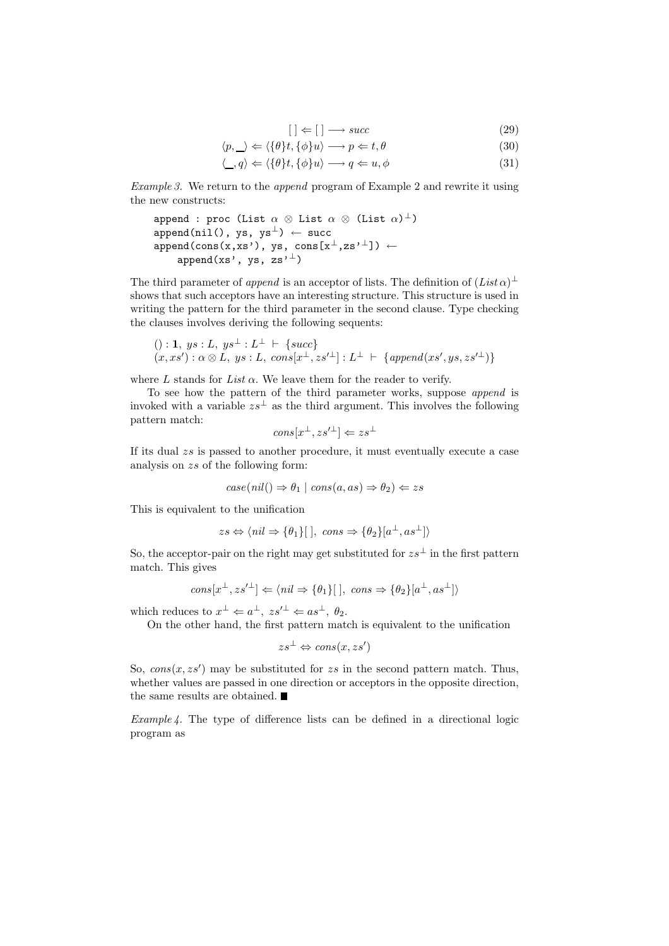$$
[\ ] \Leftarrow [\ ] \longrightarrow succ \tag{29}
$$

$$
\langle p, \_\rangle \Leftarrow \langle \{\theta\}t, \{\phi\}u \rangle \longrightarrow p \Leftarrow t, \theta \tag{30}
$$

$$
\langle \_, q \rangle \Leftarrow \langle \{\theta\}t, \{\phi\}u \rangle \longrightarrow q \Leftarrow u, \phi \tag{31}
$$

Example 3. We return to the append program of Example 2 and rewrite it using the new constructs:

append : proc (List 
$$
\alpha \otimes
$$
 List  $\alpha \otimes$  (List  $\alpha$ ) <sup>$\perp$</sup> )  
append(nil(), ys, ys <sup>$\perp$</sup> )  $\leftarrow$  succ  
append(cons(x, xs'), ys, cons[x <sup>$\perp$</sup> , zs' <sup>$\perp$</sup> ])  $\leftarrow$   
append(xs', ys, zs <sup>$\perp$</sup> )

The third parameter of *append* is an acceptor of lists. The definition of  $(List \alpha)^{\perp}$ shows that such acceptors have an interesting structure. This structure is used in writing the pattern for the third parameter in the second clause. Type checking the clauses involves deriving the following sequents:

$$
(): 1, ys: L, ys⊥: L⊥  $\vdash$  {succ}  
(x, xs') :  $\alpha \otimes L$ , ys: L, cons[x<sup>⊥</sup>, zs'<sup>⊥</sup>] : L<sup>⊥</sup>  $\vdash$  {append(xs', ys, zs'<sup>⊥</sup>})}
$$

where  $L$  stands for  $List \alpha$ . We leave them for the reader to verify.

To see how the pattern of the third parameter works, suppose append is invoked with a variable  $zs^{\perp}$  as the third argument. This involves the following pattern match:

$$
cons[x^\perp,zs'^\perp]\Leftarrow zs^\perp
$$

If its dual zs is passed to another procedure, it must eventually execute a case analysis on zs of the following form:

$$
case(nil() \Rightarrow \theta_1 \mid cons(a, as) \Rightarrow \theta_2) \Leftarrow zs
$$

This is equivalent to the unification

$$
zs \Leftrightarrow \langle nil \Rightarrow \{\theta_1\}[\ ]
$$
, cons  $\Rightarrow \{\theta_2\}[a^{\perp}, as^{\perp}]\rangle$ 

So, the acceptor-pair on the right may get substituted for  $zs^{\perp}$  in the first pattern match. This gives

$$
\mathit{cons}[x^\perp, \mathit{zs'}^\perp] \Leftarrow \langle \mathit{nil} \Rightarrow \{\theta_1\} [ \ ], \ \mathit{cons} \Rightarrow \{\theta_2\} [a^\perp, \mathit{as}^\perp] \rangle
$$

which reduces to  $x^{\perp} \Leftarrow a^{\perp}$ ,  $zs'^{\perp} \Leftarrow as^{\perp}$ ,  $\theta_2$ .

On the other hand, the first pattern match is equivalent to the unification

$$
zs^{\perp} \Leftrightarrow cons(x, zs')
$$

So,  $cons(x, zs')$  may be substituted for zs in the second pattern match. Thus, whether values are passed in one direction or acceptors in the opposite direction, the same results are obtained.

Example 4. The type of difference lists can be defined in a directional logic program as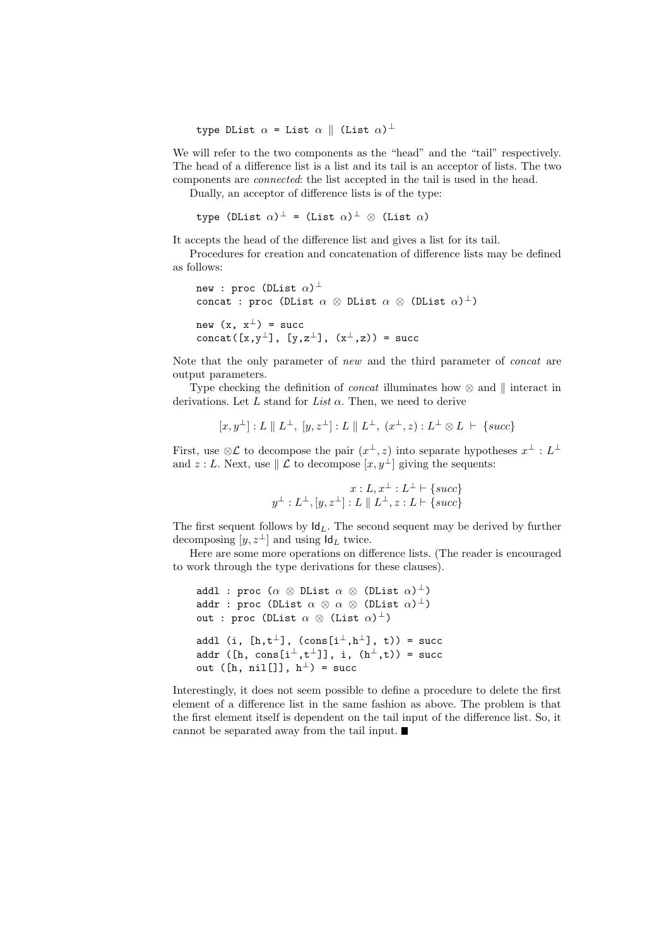type DList  $\alpha$  = List  $\alpha \parallel$  (List  $\alpha$ )<sup> $\perp$ </sup>

We will refer to the two components as the "head" and the "tail" respectively. The head of a difference list is a list and its tail is an acceptor of lists. The two components are connected: the list accepted in the tail is used in the head.

Dually, an acceptor of difference lists is of the type:

type (DList  $\alpha$ ) $^{\perp}$  = (List  $\alpha$ ) $^{\perp}$   $\otimes$  (List  $\alpha$ )

It accepts the head of the difference list and gives a list for its tail.

Procedures for creation and concatenation of difference lists may be defined as follows:

```
new : proc (DList \alpha)^\perpconcat : proc (DList \alpha \otimes DList \alpha \otimes (DList \alpha)<sup>\perp</sup>)
new (x, x^{\perp}) = succ
concat([x,y^{\perp}], [y,z^{\perp}], (x^{\perp},z)) = succ
```
Note that the only parameter of new and the third parameter of concat are output parameters.

Type checking the definition of *concat* illuminates how  $\otimes$  and  $\parallel$  interact in derivations. Let L stand for List  $\alpha$ . Then, we need to derive

$$
[x,y^\perp] : L \parallel L^\perp, [y,z^\perp] : L \parallel L^\perp, (x^\perp,z) : L^\perp \otimes L \;\vdash\; \{succ\}
$$

First, use  $\otimes \mathcal{L}$  to decompose the pair  $(x^{\perp}, z)$  into separate hypotheses  $x^{\perp}: L^{\perp}$ and  $z: L$ . Next, use  $\|\mathcal{L}$  to decompose  $[x, y^{\perp}]$  giving the sequents:

$$
x:L,x^{\perp}:L^{\perp}\vdash \{succ\}
$$
  

$$
y^{\perp}:L^{\perp},[y,z^{\perp}]:L\parallel L^{\perp},z:L\vdash \{succ\}
$$

The first sequent follows by  $\mathsf{Id}_L$ . The second sequent may be derived by further decomposing  $[y, z^{\perp}]$  and using  $\mathsf{Id}_L$  twice.

Here are some more operations on difference lists. (The reader is encouraged to work through the type derivations for these clauses).

```
addl : proc (\alpha \otimes DList \alpha \otimes (DList \alpha)^\perp)
addr : proc (DList \alpha \otimes \alpha \otimes (DList \alpha)<sup>\perp</sup>)
out : proc (DList \alpha \otimes (List \alpha)<sup>\perp</sup>)
addl (i, [h, t^{\perp}], (cons[i^{\perp}, h^{\perp}], t)) = succ
addr ([h, cons[i^{\perp}, t^{\perp}]], i, (h^{\perp}, t)) = succout ([h, nil[]], h^{\perp}) = succ
```
Interestingly, it does not seem possible to define a procedure to delete the first element of a difference list in the same fashion as above. The problem is that the first element itself is dependent on the tail input of the difference list. So, it cannot be separated away from the tail input.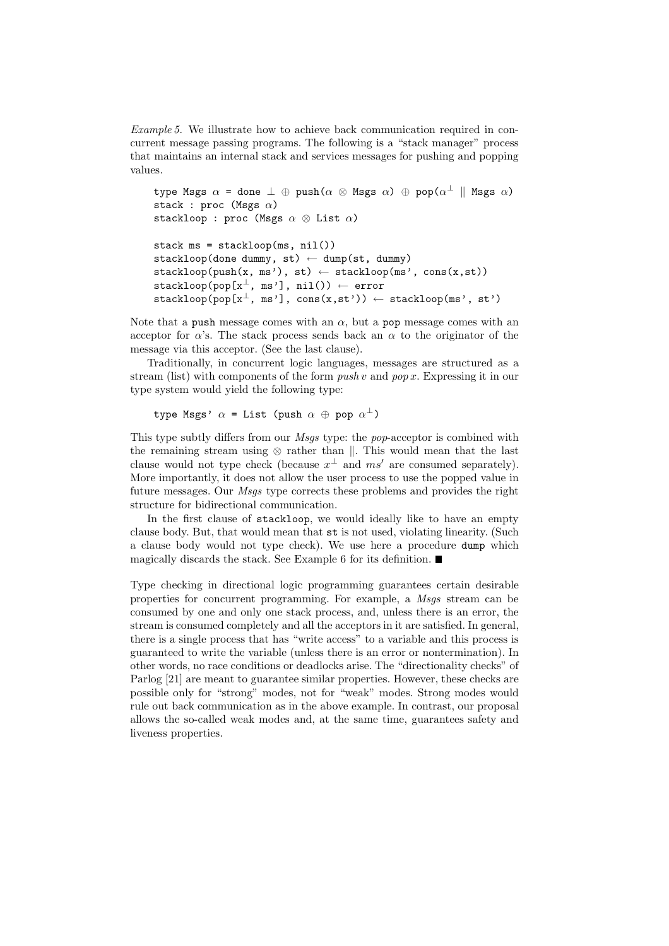Example 5. We illustrate how to achieve back communication required in concurrent message passing programs. The following is a "stack manager" process that maintains an internal stack and services messages for pushing and popping values.

```
type Msgs \alpha = done \bot \oplus \mathrm{push}(\alpha \otimes \mathrm{Msgs}\,\, \alpha) \ \oplus \ \mathrm{pop}(\alpha^\bot \,\parallel\, \mathrm{Msgs}\,\, \alpha)stack : proc (Msgs \alpha)
stackloop : proc (Msgs \alpha \otimes List \alpha)
stack ms = stackloop(ms, nil())
stackloop(done dummy, st) \leftarrow dump(st, dummy)stackloop(push(x, ms'), st) \leftarrow stackloop(ms', cons(x, st))stackloop(pop[x^{\perp}, ms'], nil()) ← error
stackloop(pop[x<sup>⊥</sup>, ms'], cons(x,st')) ← stackloop(ms', st')
```
Note that a push message comes with an  $\alpha$ , but a pop message comes with an acceptor for  $\alpha$ 's. The stack process sends back an  $\alpha$  to the originator of the message via this acceptor. (See the last clause).

Traditionally, in concurrent logic languages, messages are structured as a stream (list) with components of the form  $push v$  and  $pop x$ . Expressing it in our type system would yield the following type:

type Msgs'  $\alpha$  = List (push  $\alpha \, \oplus$  pop  $\alpha^{\perp}$ )

This type subtly differs from our *Msgs* type: the *pop*-acceptor is combined with the remaining stream using  $\otimes$  rather than k. This would mean that the last clause would not type check (because  $x^{\perp}$  and  $ms'$  are consumed separately). More importantly, it does not allow the user process to use the popped value in future messages. Our Msgs type corrects these problems and provides the right structure for bidirectional communication.

In the first clause of stackloop, we would ideally like to have an empty clause body. But, that would mean that st is not used, violating linearity. (Such a clause body would not type check). We use here a procedure dump which magically discards the stack. See Example 6 for its definition.  $\blacksquare$ 

Type checking in directional logic programming guarantees certain desirable properties for concurrent programming. For example, a Msgs stream can be consumed by one and only one stack process, and, unless there is an error, the stream is consumed completely and all the acceptors in it are satisfied. In general, there is a single process that has "write access" to a variable and this process is guaranteed to write the variable (unless there is an error or nontermination). In other words, no race conditions or deadlocks arise. The "directionality checks" of Parlog [21] are meant to guarantee similar properties. However, these checks are possible only for "strong" modes, not for "weak" modes. Strong modes would rule out back communication as in the above example. In contrast, our proposal allows the so-called weak modes and, at the same time, guarantees safety and liveness properties.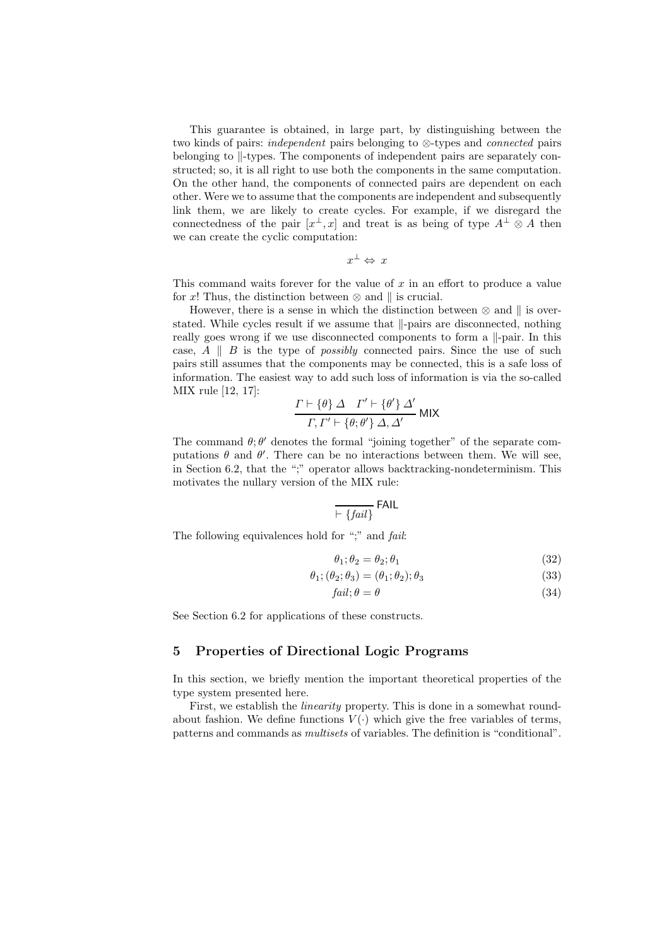This guarantee is obtained, in large part, by distinguishing between the two kinds of pairs: independent pairs belonging to ⊗-types and connected pairs belonging to  $\mathcal{L}_{\text{t}}$ -types. The components of independent pairs are separately constructed; so, it is all right to use both the components in the same computation. On the other hand, the components of connected pairs are dependent on each other. Were we to assume that the components are independent and subsequently link them, we are likely to create cycles. For example, if we disregard the connectedness of the pair  $[x^{\perp},x]$  and treat is as being of type  $A^{\perp} \overset{\sim}{\otimes} A$  then we can create the cyclic computation:

$$
x^{\perp} \Leftrightarrow x
$$

This command waits forever for the value of x in an effort to produce a value for x! Thus, the distinction between  $\otimes$  and  $\parallel$  is crucial.

However, there is a sense in which the distinction between  $\otimes$  and  $\parallel$  is overstated. While cycles result if we assume that  $\parallel$ -pairs are disconnected, nothing really goes wrong if we use disconnected components to form a  $\parallel$ -pair. In this case,  $A \parallel B$  is the type of *possibly* connected pairs. Since the use of such pairs still assumes that the components may be connected, this is a safe loss of information. The easiest way to add such loss of information is via the so-called MIX rule [12, 17]:

$$
\frac{\Gamma \vdash \{\theta\} \; \Delta \quad \Gamma' \vdash \{\theta'\} \; \Delta'}{\Gamma,\Gamma' \vdash \{\theta;\theta'\} \; \Delta,\Delta'}
$$
 MIX

The command  $\theta$ ;  $\theta'$  denotes the formal "joining together" of the separate computations  $\theta$  and  $\theta'$ . There can be no interactions between them. We will see, in Section 6.2, that the ";" operator allows backtracking-nondeterminism. This motivates the nullary version of the MIX rule:

$$
\overline{\vdash \{fail\}}
$$
 **FAIL**

The following equivalences hold for ";" and *fail*:

$$
\theta_1; \theta_2 = \theta_2; \theta_1 \tag{32}
$$

$$
\theta_1; (\theta_2; \theta_3) = (\theta_1; \theta_2); \theta_3 \tag{33}
$$

$$
fail; \theta = \theta \tag{34}
$$

See Section 6.2 for applications of these constructs.

### 5 Properties of Directional Logic Programs

In this section, we briefly mention the important theoretical properties of the type system presented here.

First, we establish the *linearity* property. This is done in a somewhat roundabout fashion. We define functions  $V(\cdot)$  which give the free variables of terms, patterns and commands as multisets of variables. The definition is "conditional".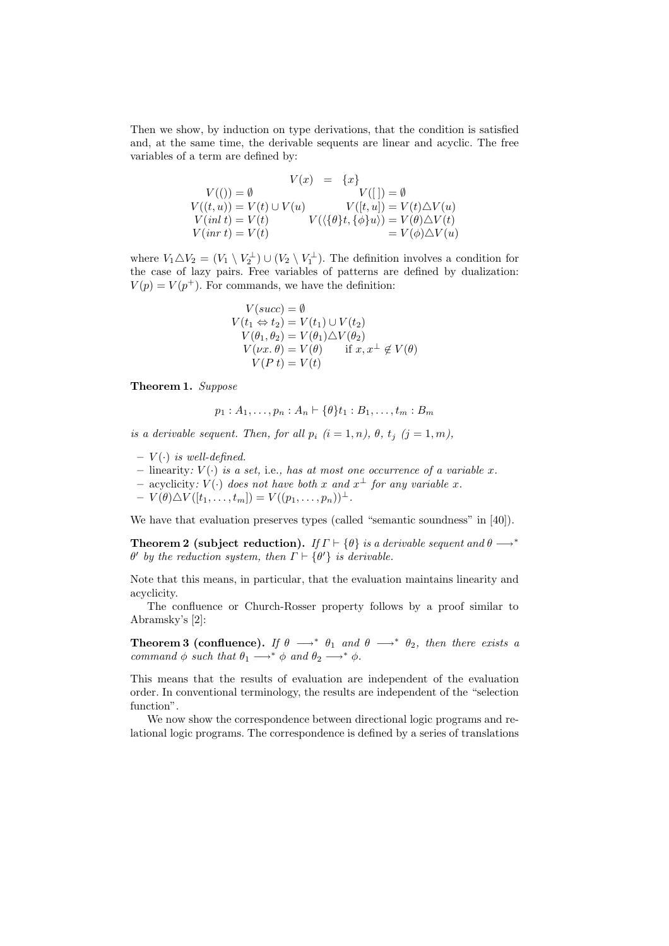Then we show, by induction on type derivations, that the condition is satisfied and, at the same time, the derivable sequents are linear and acyclic. The free variables of a term are defined by:

$$
V(x) = \{x\}
$$
  
\n
$$
V(\mathbf{I}) = \emptyset
$$
  
\n
$$
V(\mathbf{I}) = \emptyset
$$
  
\n
$$
V((t, u)) = V(t) \cup V(u)
$$
  
\n
$$
V(\mathbf{I}, u) = V(t) \Delta V(u)
$$
  
\n
$$
V(\mathbf{I}, u) = V(t) \Delta V(t)
$$
  
\n
$$
V(\mathbf{I}, u) = V(\mathbf{I}) \Delta V(t)
$$
  
\n
$$
V(\mathbf{I}, u) = V(\mathbf{I}) \Delta V(u)
$$
  
\n
$$
= V(\mathbf{I}, u) \Delta V(u)
$$

where  $V_1 \triangle V_2 = (V_1 \setminus V_2^{\perp}) \cup (V_2 \setminus V_1^{\perp})$ . The definition involves a condition for the case of lazy pairs. Free variables of patterns are defined by dualization:  $V(p) = V(p^+)$ . For commands, we have the definition:

$$
V(succ) = \emptyset
$$
  
\n
$$
V(t_1 \Leftrightarrow t_2) = V(t_1) \cup V(t_2)
$$
  
\n
$$
V(\theta_1, \theta_2) = V(\theta_1) \triangle V(\theta_2)
$$
  
\n
$$
V(\nu x. \theta) = V(\theta) \quad \text{if } x, x^{\perp} \notin V(\theta)
$$
  
\n
$$
V(P t) = V(t)
$$

Theorem 1. Suppose

$$
p_1:A_1,\ldots,p_n:A_n\vdash \{\theta\}t_1:B_1,\ldots,t_m:B_m
$$

is a derivable sequent. Then, for all  $p_i$   $(i = 1, n)$ ,  $\theta$ ,  $t_j$   $(j = 1, m)$ ,

- $-V(·)$  is well-defined.
- linearity:  $V(\cdot)$  is a set, i.e., has at most one occurrence of a variable x.
- $-$  acyclicity:  $V(\cdot)$  does not have both x and  $x^{\perp}$  for any variable x.
- $-V(\theta) \Delta V([t_1, \ldots, t_m]) = V((p_1, \ldots, p_n))^{\perp}.$

We have that evaluation preserves types (called "semantic soundness" in [40]).

**Theorem 2 (subject reduction).** If  $\Gamma \vdash \{\theta\}$  is a derivable sequent and  $\theta \rightarrow^*$  $\theta'$  by the reduction system, then  $\Gamma \vdash \{\theta'\}$  is derivable.

Note that this means, in particular, that the evaluation maintains linearity and acyclicity.

The confluence or Church-Rosser property follows by a proof similar to Abramsky's [2]:

**Theorem 3 (confluence).** If  $\theta \rightarrow^* \theta_1$  and  $\theta \rightarrow^* \theta_2$ , then there exists a command  $\phi$  such that  $\theta_1 \longrightarrow^* \phi$  and  $\theta_2 \longrightarrow^* \phi$ .

This means that the results of evaluation are independent of the evaluation order. In conventional terminology, the results are independent of the "selection function".

We now show the correspondence between directional logic programs and relational logic programs. The correspondence is defined by a series of translations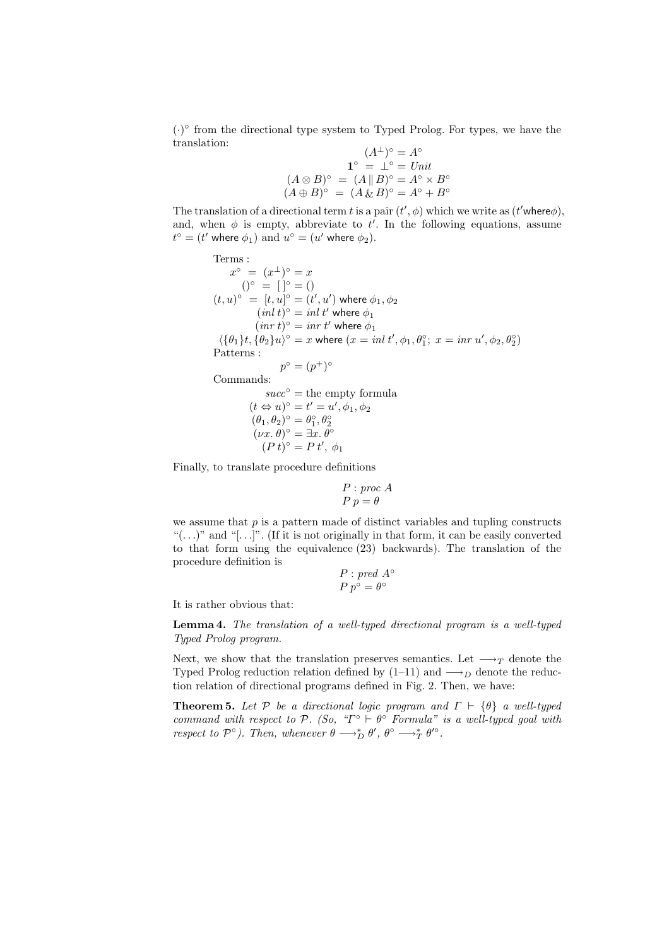(·) ◦ from the directional type system to Typed Prolog. For types, we have the translation:

$$
(A^{\perp})^{\circ} = A^{\circ}
$$
  
\n
$$
\mathbf{1}^{\circ} = \perp^{\circ} = Unit
$$
  
\n
$$
(A \otimes B)^{\circ} = (A \parallel B)^{\circ} = A^{\circ} \times B^{\circ}
$$
  
\n
$$
(A \oplus B)^{\circ} = (A \& B)^{\circ} = A^{\circ} + B^{\circ}
$$

The translation of a directional term t is a pair  $(t', \phi)$  which we write as  $(t'$  where  $\phi)$ , and, when  $\phi$  is empty, abbreviate to t'. In the following equations, assume  $t^{\circ} = (t'$  where  $\phi_1)$  and  $u^{\circ} = (u'$  where  $\phi_2)$ .

Terms :  
\n
$$
x^{\circ} = (x^{\perp})^{\circ} = x
$$
\n
$$
(\ )^{\circ} = []^{\circ} = ()
$$
\n
$$
(t, u)^{\circ} = [t, u]^{\circ} = (t', u')
$$
\nwhere  $\phi_1, \phi_2$   
\n
$$
(int t)^{\circ} = int t' \text{ where } \phi_1
$$
\n
$$
(in t)^{\circ} = in t' \text{ where } \phi_1
$$
\n
$$
\langle \{\theta_1\}t, \{\theta_2\}u\rangle^{\circ} = x \text{ where } (x = inl t', \phi_1, \theta_1^{\circ}; x = inr u', \phi_2, \theta_2^{\circ})
$$
\nPatterns :  
\n
$$
p^{\circ} = (p^+)^{\circ}
$$

Commands:

$$
succ^{\circ} = \text{the empty formula}
$$
  
\n
$$
(t \Leftrightarrow u)^{\circ} = t' = u', \phi_1, \phi_2
$$
  
\n
$$
(\theta_1, \theta_2)^{\circ} = \theta_1^{\circ}, \theta_2^{\circ}
$$
  
\n
$$
(\nu x. \theta)^{\circ} = \exists x. \theta^{\circ}
$$
  
\n
$$
(P t)^{\circ} = P t', \phi_1
$$

Finally, to translate procedure definitions

$$
\begin{array}{l} P: proc \; A \\ P \; p = \theta \end{array}
$$

we assume that  $p$  is a pattern made of distinct variables and tupling constructs " $(...)$ " and " $[...]$ ". (If it is not originally in that form, it can be easily converted to that form using the equivalence (23) backwards). The translation of the procedure definition is

$$
P: pred A^{\circ}
$$
  

$$
P p^{\circ} = \theta^{\circ}
$$

It is rather obvious that:

Lemma 4. The translation of a well-typed directional program is a well-typed Typed Prolog program.

Next, we show that the translation preserves semantics. Let  $\longrightarrow_{T}$  denote the Typed Prolog reduction relation defined by  $(1-11)$  and  $\longrightarrow_D$  denote the reduction relation of directional programs defined in Fig. 2. Then, we have:

**Theorem 5.** Let P be a directional logic program and  $\Gamma \vdash {\theta}$  a well-typed command with respect to P. (So, " $\Gamma^{\circ} \vdash \theta^{\circ}$  Formula" is a well-typed goal with respect to  $\mathcal{P}^{\circ}$ ). Then, whenever  $\theta \longrightarrow_D^* \theta'$ ,  $\theta^{\circ} \longrightarrow_T^* \theta'^{\circ}$ .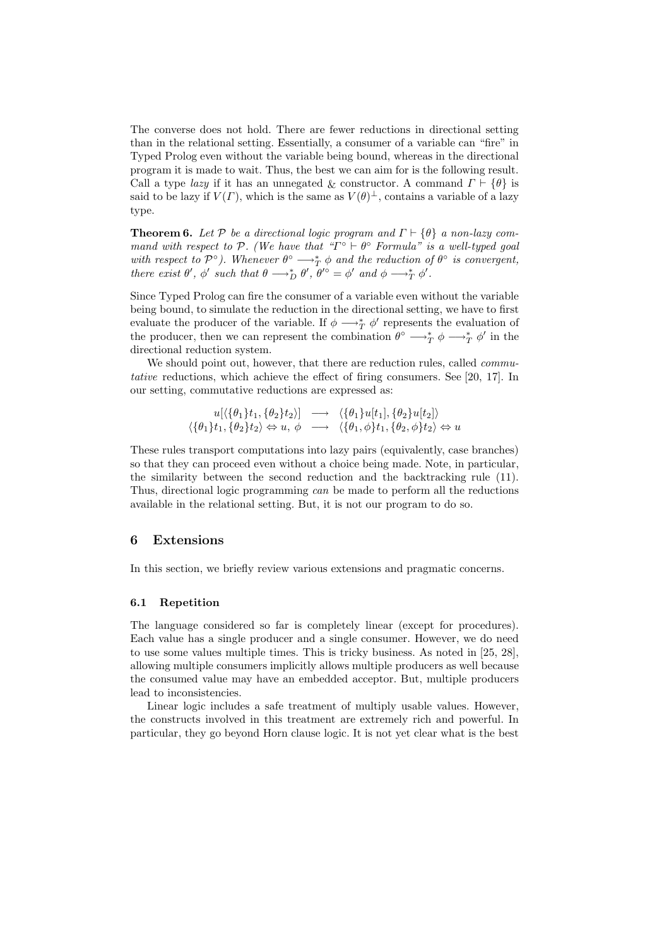The converse does not hold. There are fewer reductions in directional setting than in the relational setting. Essentially, a consumer of a variable can "fire" in Typed Prolog even without the variable being bound, whereas in the directional program it is made to wait. Thus, the best we can aim for is the following result. Call a type *lazy* if it has an unnegated  $\&$  constructor. A command  $\Gamma \vdash {\theta}$  is said to be lazy if  $V(\Gamma)$ , which is the same as  $V(\theta)^{\perp}$ , contains a variable of a lazy type.

**Theorem 6.** Let  $\mathcal{P}$  be a directional logic program and  $\Gamma \vdash \{\theta\}$  a non-lazy command with respect to P. (We have that " $\Gamma^{\circ} \vdash \theta^{\circ}$  Formula" is a well-typed goal with respect to  $\mathcal{P}^{\circ}$ ). Whenever  $\theta^{\circ} \longrightarrow_T^* \phi$  and the reduction of  $\theta^{\circ}$  is convergent, there exist  $\theta'$ ,  $\phi'$  such that  $\theta \longrightarrow_D^* \theta'$ ,  $\theta'^{\circ} = \phi'$  and  $\phi \longrightarrow_T^* \phi'$ .

Since Typed Prolog can fire the consumer of a variable even without the variable being bound, to simulate the reduction in the directional setting, we have to first evaluate the producer of the variable. If  $\phi \longrightarrow_T^* \phi'$  represents the evaluation of the producer, then we can represent the combination  $\theta^{\circ} \longrightarrow_T^* \phi \longrightarrow_T^* \phi'$  in the directional reduction system.

We should point out, however, that there are reduction rules, called *commu*tative reductions, which achieve the effect of firing consumers. See [20, 17]. In our setting, commutative reductions are expressed as:

$$
u[\langle \{\theta_1\}t_1, \{\theta_2\}t_2 \rangle] \longrightarrow \langle \{\theta_1\}u[t_1], \{\theta_2\}u[t_2] \rangle \langle \{\theta_1\}t_1, \{\theta_2\}t_2 \rangle \Leftrightarrow u, \phi \longrightarrow \langle \{\theta_1, \phi\}t_1, \{\theta_2, \phi\}t_2 \rangle \Leftrightarrow u
$$

These rules transport computations into lazy pairs (equivalently, case branches) so that they can proceed even without a choice being made. Note, in particular, the similarity between the second reduction and the backtracking rule (11). Thus, directional logic programming can be made to perform all the reductions available in the relational setting. But, it is not our program to do so.

## 6 Extensions

In this section, we briefly review various extensions and pragmatic concerns.

#### 6.1 Repetition

The language considered so far is completely linear (except for procedures). Each value has a single producer and a single consumer. However, we do need to use some values multiple times. This is tricky business. As noted in [25, 28], allowing multiple consumers implicitly allows multiple producers as well because the consumed value may have an embedded acceptor. But, multiple producers lead to inconsistencies.

Linear logic includes a safe treatment of multiply usable values. However, the constructs involved in this treatment are extremely rich and powerful. In particular, they go beyond Horn clause logic. It is not yet clear what is the best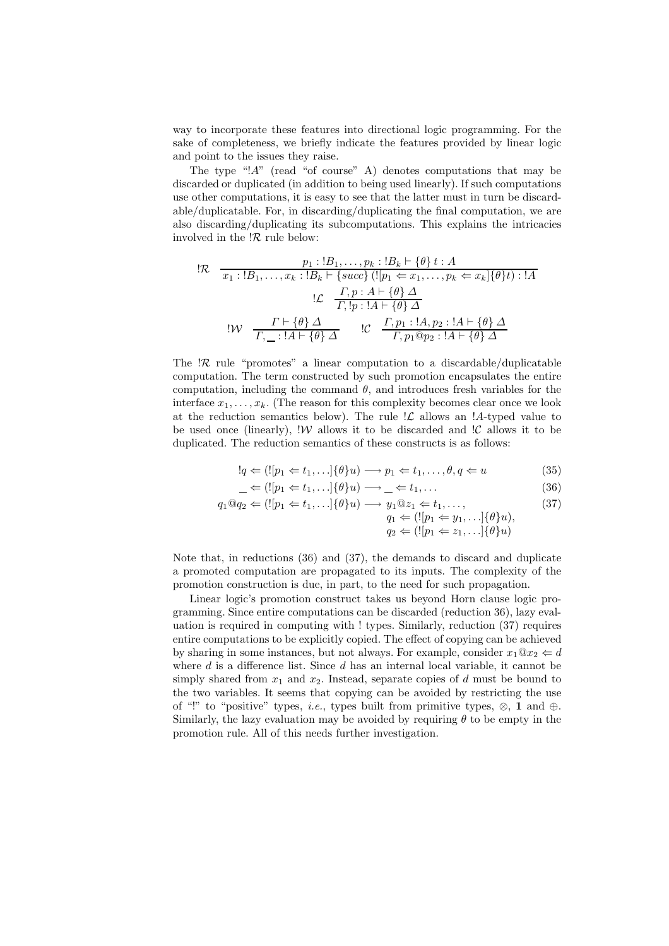way to incorporate these features into directional logic programming. For the sake of completeness, we briefly indicate the features provided by linear logic and point to the issues they raise.

The type " $A$ " (read "of course" A) denotes computations that may be discarded or duplicated (in addition to being used linearly). If such computations use other computations, it is easy to see that the latter must in turn be discardable/duplicatable. For, in discarding/duplicating the final computation, we are also discarding/duplicating its subcomputations. This explains the intricacies involved in the  $\mathcal R$  rule below:

$$
! \mathcal{R} \quad \frac{p_1 : !B_1, \dots, p_k : !B_k \vdash \{\theta\} \, t : A}{x_1 : !B_1, \dots, x_k : !B_k \vdash \{succ\} \, (![p_1 \Leftarrow x_1, \dots, p_k \Leftarrow x_k] \{\theta\} \, t) : !A}
$$
\n
$$
! \mathcal{L} \quad \frac{\Gamma, p : A \vdash \{\theta\} \, \Delta}{\Gamma, !p : !A \vdash \{\theta\} \, \Delta}
$$
\n
$$
! \mathcal{W} \quad \frac{\Gamma \vdash \{\theta\} \, \Delta}{\Gamma, \_!1 \cdots : !A \vdash \{\theta\} \, \Delta} \quad ! \mathcal{C} \quad \frac{\Gamma, p_1 : !A, p_2 : !A \vdash \{\theta\} \, \Delta}{\Gamma, p_1 @ p_2 : !A \vdash \{\theta\} \, \Delta}
$$

The  $\mathcal{R}$  rule "promotes" a linear computation to a discardable/duplicatable computation. The term constructed by such promotion encapsulates the entire computation, including the command  $\theta$ , and introduces fresh variables for the interface  $x_1, \ldots, x_k$ . (The reason for this complexity becomes clear once we look at the reduction semantics below). The rule  $\mathcal{L}$  allows an  $\mathcal{L}$ -typed value to be used once (linearly), !W allows it to be discarded and  $\mathcal{C}$  allows it to be duplicated. The reduction semantics of these constructs is as follows:

$$
!q \Leftarrow (![p_1 \Leftarrow t_1, \ldots] \{\theta\} u) \longrightarrow p_1 \Leftarrow t_1, \ldots, \theta, q \Leftarrow u \tag{35}
$$

$$
\underline{\phantom{a}} \Leftarrow (!p_1 \Leftarrow t_1, \ldots | \{\theta\} u) \longrightarrow \underline{\phantom{a}} \Leftarrow t_1, \ldots \tag{36}
$$

$$
q_1 @ q_2 \Leftarrow (!p_1 \Leftarrow t_1, \ldots] \{\theta\} u) \longrightarrow y_1 @ z_1 \Leftarrow t_1, \ldots, q_1 \Leftarrow (!p_1 \Leftarrow y_1, \ldots] \{\theta\} u), q_2 \Leftarrow (!p_1 \Leftarrow z_1, \ldots] \{\theta\} u)
$$
 (37)

Note that, in reductions (36) and (37), the demands to discard and duplicate a promoted computation are propagated to its inputs. The complexity of the promotion construction is due, in part, to the need for such propagation.

Linear logic's promotion construct takes us beyond Horn clause logic programming. Since entire computations can be discarded (reduction 36), lazy evaluation is required in computing with ! types. Similarly, reduction (37) requires entire computations to be explicitly copied. The effect of copying can be achieved by sharing in some instances, but not always. For example, consider  $x_1@x_2 \leftarrow d$ where  $d$  is a difference list. Since  $d$  has an internal local variable, it cannot be simply shared from  $x_1$  and  $x_2$ . Instead, separate copies of d must be bound to the two variables. It seems that copying can be avoided by restricting the use of "!" to "positive" types, *i.e.*, types built from primitive types,  $\otimes$ , 1 and  $\oplus$ . Similarly, the lazy evaluation may be avoided by requiring  $\theta$  to be empty in the promotion rule. All of this needs further investigation.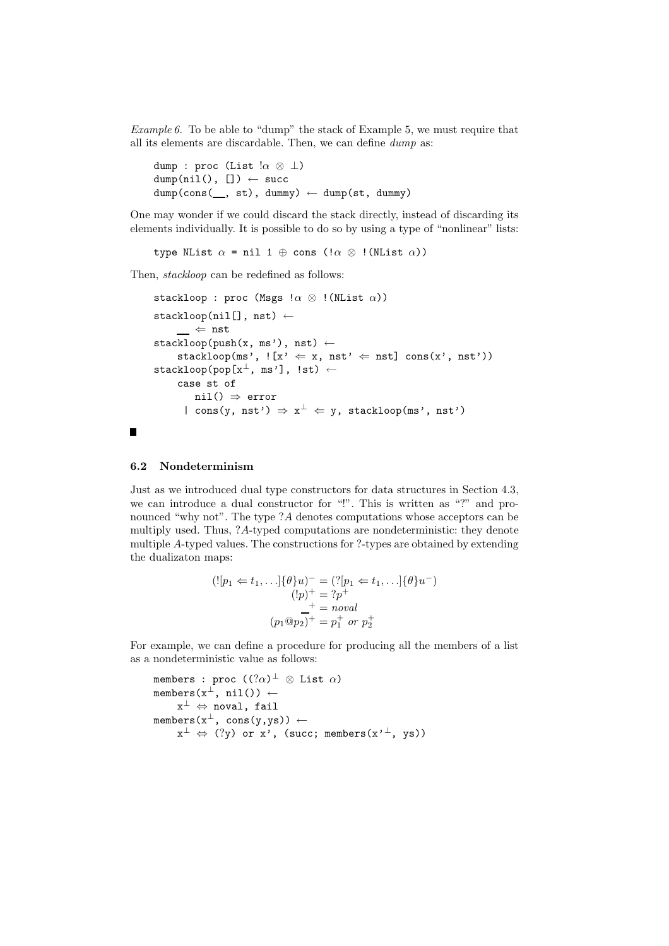Example 6. To be able to "dump" the stack of Example 5, we must require that all its elements are discardable. Then, we can define dump as:

dump : proc (List  $!\alpha \otimes \bot$ )  $dump(nil(), [] \leftarrow succ$  $dump(cons(\_\_, st), dummy) \leftarrow dump(st, dummy)$ 

One may wonder if we could discard the stack directly, instead of discarding its elements individually. It is possible to do so by using a type of "nonlinear" lists:

type NList  $\alpha$  = nil 1  $\oplus$  cons (! $\alpha \otimes$  !(NList  $\alpha$ ))

Then, stackloop can be redefined as follows:

```
stackloop : proc (Msgs !\alpha \otimes !(NList \alpha))
stackloop(nil[], nst) \leftarrow\Leftarrow nst
stackloop(push(x, ms'), nst) \leftarrowstackloop(ms', ! [x' \leftarrow x, \text{nst'} \leftarrow \text{nst}] \text{cons}(x', \text{nst'}))stackloop(pop[x<sup>\perp</sup>, ms'], !st) ←
     case st of
          nil() \Rightarrow error
       | cons(y, nst') \Rightarrow x^{\perp} \Leftarrow y, stackloop(ms', nst')
```
#### 6.2 Nondeterminism

Just as we introduced dual type constructors for data structures in Section 4.3, we can introduce a dual constructor for "!". This is written as "?" and pronounced "why not". The type ?A denotes computations whose acceptors can be multiply used. Thus, ?A-typed computations are nondeterministic: they denote multiple A-typed values. The constructions for ?-types are obtained by extending the dualizaton maps:

(![p<sup>1</sup> ⇐ t1, . . .]{θ}u) <sup>−</sup> = (?[p<sup>1</sup> ⇐ t1, . . .]{θ}u −) (!p) <sup>+</sup> = ?p + <sup>+</sup> = noval (p1@p2) <sup>+</sup> = p + 1 or p + 2

For example, we can define a procedure for producing all the members of a list as a nondeterministic value as follows:

```
members : proc ((?\alpha)^{\perp} \otimes List \alpha)members(x^{\perp}, nil()) ←
        \mathtt{x}^\bot \; \Leftrightarrow \; \mathtt{noval, \; fail}members(x^{\perp}, cons(y,ys)) \leftarrowx^{\perp} \Leftrightarrow (?y) or x', (succ; members(x'<sup>1</sup>, ys))
```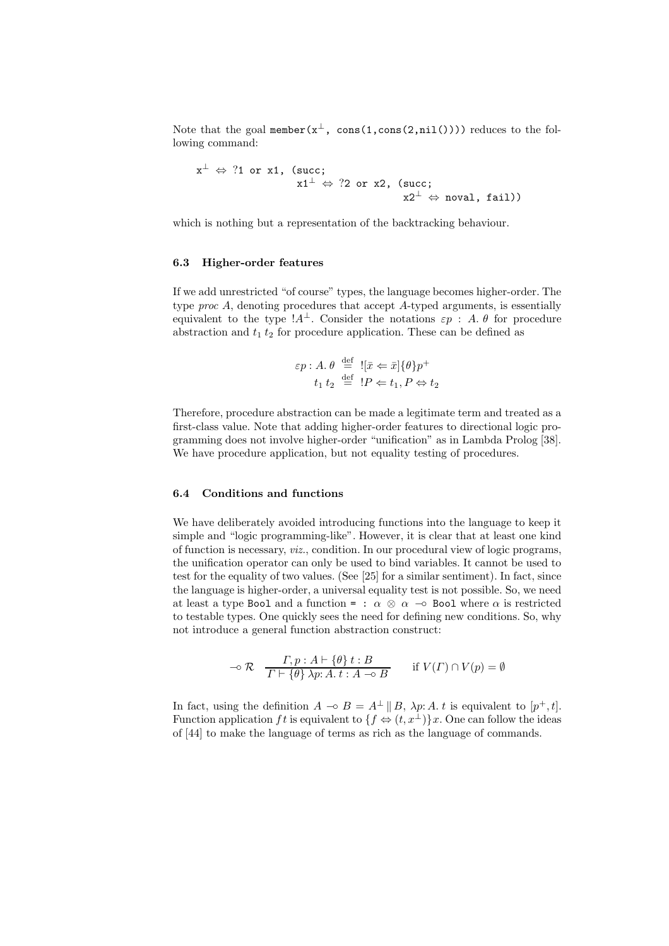Note that the goal member( $x^{\perp}$ , cons(1,cons(2,nil()))) reduces to the following command:

$$
x^{\perp} \Leftrightarrow ?1
$$
 or  $x1$ , (succ;  
 $x1^{\perp} \Leftrightarrow ?2$  or  $x2$ , (succ;  
 $x2^{\perp} \Leftrightarrow$  noval, fail))

which is nothing but a representation of the backtracking behaviour.

### 6.3 Higher-order features

If we add unrestricted "of course" types, the language becomes higher-order. The type proc A, denoting procedures that accept A-typed arguments, is essentially equivalent to the type  $A^{\perp}$ . Consider the notations  $\varepsilon p : A, \theta$  for procedure abstraction and  $t_1 t_2$  for procedure application. These can be defined as

$$
\varepsilon p : A. \theta \stackrel{\text{def}}{=} [ \bar{x} \Leftarrow \bar{x}] \{ \theta \} p^+
$$

$$
t_1 t_2 \stackrel{\text{def}}{=} !P \Leftarrow t_1, P \Leftrightarrow t_2
$$

Therefore, procedure abstraction can be made a legitimate term and treated as a first-class value. Note that adding higher-order features to directional logic programming does not involve higher-order "unification" as in Lambda Prolog [38]. We have procedure application, but not equality testing of procedures.

### 6.4 Conditions and functions

We have deliberately avoided introducing functions into the language to keep it simple and "logic programming-like". However, it is clear that at least one kind of function is necessary, viz., condition. In our procedural view of logic programs, the unification operator can only be used to bind variables. It cannot be used to test for the equality of two values. (See [25] for a similar sentiment). In fact, since the language is higher-order, a universal equality test is not possible. So, we need at least a type Bool and a function = :  $\alpha \otimes \alpha \rightarrow$  Bool where  $\alpha$  is restricted to testable types. One quickly sees the need for defining new conditions. So, why not introduce a general function abstraction construct:

$$
\neg \circ \mathcal{R} \quad \frac{\Gamma, p : A \vdash \{\theta\} \ t : B}{\Gamma \vdash \{\theta\} \lambda p : A \ t : A \neg \circ B} \qquad \text{if } V(\Gamma) \cap V(p) = \emptyset
$$

In fact, using the definition  $A \to B = A^{\perp} || B$ ,  $\lambda p$ : A. t is equivalent to  $[p^+, t]$ . Function application ft is equivalent to  $\{f \leftrightarrow (t, x^{\perp})\}x$ . One can follow the ideas of [44] to make the language of terms as rich as the language of commands.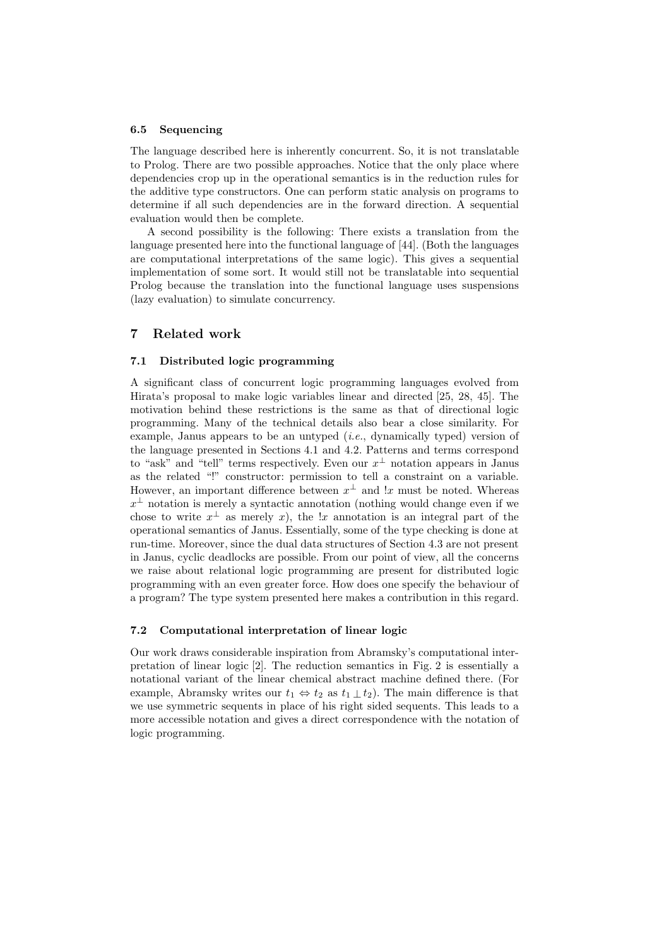#### 6.5 Sequencing

The language described here is inherently concurrent. So, it is not translatable to Prolog. There are two possible approaches. Notice that the only place where dependencies crop up in the operational semantics is in the reduction rules for the additive type constructors. One can perform static analysis on programs to determine if all such dependencies are in the forward direction. A sequential evaluation would then be complete.

A second possibility is the following: There exists a translation from the language presented here into the functional language of [44]. (Both the languages are computational interpretations of the same logic). This gives a sequential implementation of some sort. It would still not be translatable into sequential Prolog because the translation into the functional language uses suspensions (lazy evaluation) to simulate concurrency.

# 7 Related work

### 7.1 Distributed logic programming

A significant class of concurrent logic programming languages evolved from Hirata's proposal to make logic variables linear and directed [25, 28, 45]. The motivation behind these restrictions is the same as that of directional logic programming. Many of the technical details also bear a close similarity. For example, Janus appears to be an untyped *(i.e.*, dynamically typed) version of the language presented in Sections 4.1 and 4.2. Patterns and terms correspond to "ask" and "tell" terms respectively. Even our  $x^{\perp}$  notation appears in Janus as the related "!" constructor: permission to tell a constraint on a variable. However, an important difference between  $x^{\perp}$  and  $x$  must be noted. Whereas  $x^{\perp}$  notation is merely a syntactic annotation (nothing would change even if we chose to write  $x^{\perp}$  as merely x), the  $x$  annotation is an integral part of the operational semantics of Janus. Essentially, some of the type checking is done at run-time. Moreover, since the dual data structures of Section 4.3 are not present in Janus, cyclic deadlocks are possible. From our point of view, all the concerns we raise about relational logic programming are present for distributed logic programming with an even greater force. How does one specify the behaviour of a program? The type system presented here makes a contribution in this regard.

### 7.2 Computational interpretation of linear logic

Our work draws considerable inspiration from Abramsky's computational interpretation of linear logic [2]. The reduction semantics in Fig. 2 is essentially a notational variant of the linear chemical abstract machine defined there. (For example, Abramsky writes our  $t_1 \Leftrightarrow t_2$  as  $t_1 \perp t_2$ ). The main difference is that we use symmetric sequents in place of his right sided sequents. This leads to a more accessible notation and gives a direct correspondence with the notation of logic programming.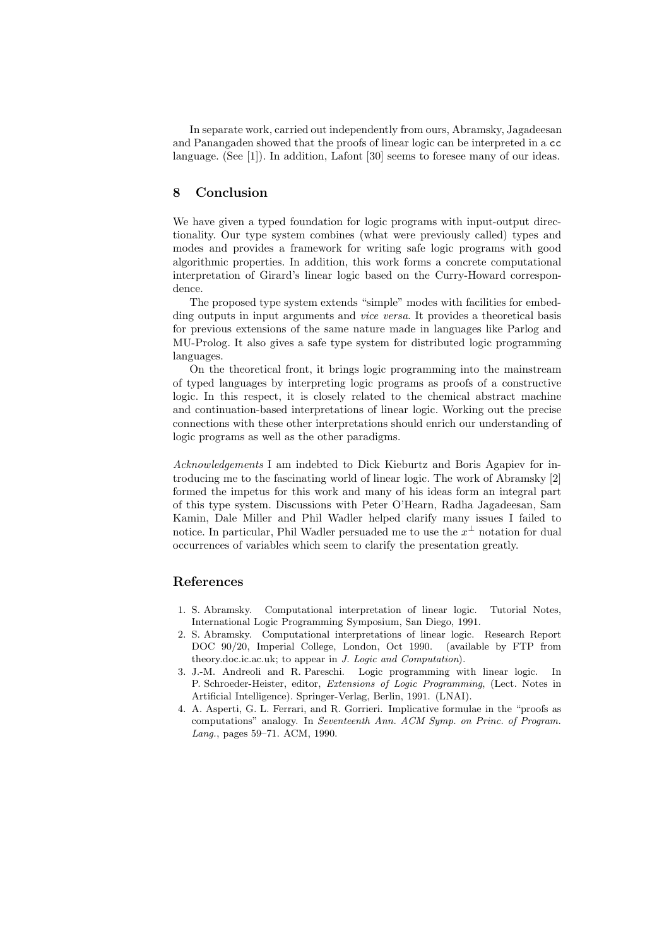In separate work, carried out independently from ours, Abramsky, Jagadeesan and Panangaden showed that the proofs of linear logic can be interpreted in a cc language. (See [1]). In addition, Lafont [30] seems to foresee many of our ideas.

# 8 Conclusion

We have given a typed foundation for logic programs with input-output directionality. Our type system combines (what were previously called) types and modes and provides a framework for writing safe logic programs with good algorithmic properties. In addition, this work forms a concrete computational interpretation of Girard's linear logic based on the Curry-Howard correspondence.

The proposed type system extends "simple" modes with facilities for embedding outputs in input arguments and vice versa. It provides a theoretical basis for previous extensions of the same nature made in languages like Parlog and MU-Prolog. It also gives a safe type system for distributed logic programming languages.

On the theoretical front, it brings logic programming into the mainstream of typed languages by interpreting logic programs as proofs of a constructive logic. In this respect, it is closely related to the chemical abstract machine and continuation-based interpretations of linear logic. Working out the precise connections with these other interpretations should enrich our understanding of logic programs as well as the other paradigms.

Acknowledgements I am indebted to Dick Kieburtz and Boris Agapiev for introducing me to the fascinating world of linear logic. The work of Abramsky [2] formed the impetus for this work and many of his ideas form an integral part of this type system. Discussions with Peter O'Hearn, Radha Jagadeesan, Sam Kamin, Dale Miller and Phil Wadler helped clarify many issues I failed to notice. In particular, Phil Wadler persuaded me to use the  $x^{\perp}$  notation for dual occurrences of variables which seem to clarify the presentation greatly.

## References

- 1. S. Abramsky. Computational interpretation of linear logic. Tutorial Notes, International Logic Programming Symposium, San Diego, 1991.
- 2. S. Abramsky. Computational interpretations of linear logic. Research Report DOC 90/20, Imperial College, London, Oct 1990. (available by FTP from theory.doc.ic.ac.uk; to appear in J. Logic and Computation).
- 3. J.-M. Andreoli and R. Pareschi. Logic programming with linear logic. In P. Schroeder-Heister, editor, Extensions of Logic Programming, (Lect. Notes in Artificial Intelligence). Springer-Verlag, Berlin, 1991. (LNAI).
- 4. A. Asperti, G. L. Ferrari, and R. Gorrieri. Implicative formulae in the "proofs as computations" analogy. In Seventeenth Ann. ACM Symp. on Princ. of Program. Lang., pages 59–71. ACM, 1990.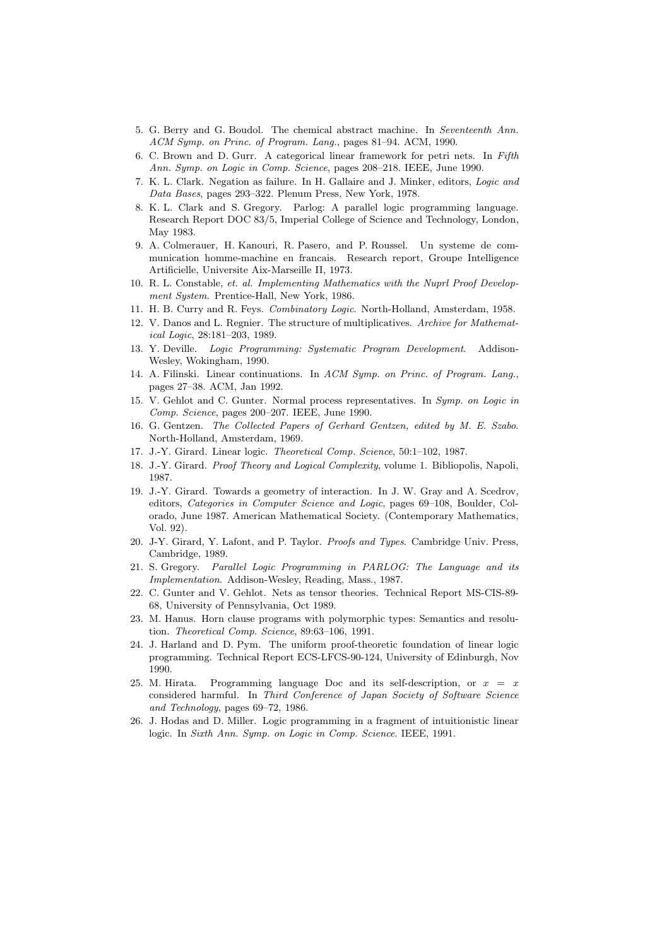- 5. G. Berry and G. Boudol. The chemical abstract machine. In Seventeenth Ann. ACM Symp. on Princ. of Program. Lang., pages 81–94. ACM, 1990.
- 6. C. Brown and D. Gurr. A categorical linear framework for petri nets. In Fifth Ann. Symp. on Logic in Comp. Science, pages 208–218. IEEE, June 1990.
- 7. K. L. Clark. Negation as failure. In H. Gallaire and J. Minker, editors, Logic and Data Bases, pages 293–322. Plenum Press, New York, 1978.
- 8. K. L. Clark and S. Gregory. Parlog: A parallel logic programming language. Research Report DOC 83/5, Imperial College of Science and Technology, London, May 1983.
- 9. A. Colmerauer, H. Kanouri, R. Pasero, and P. Roussel. Un systeme de communication homme-machine en francais. Research report, Groupe Intelligence Artificielle, Universite Aix-Marseille II, 1973.
- 10. R. L. Constable, et. al. Implementing Mathematics with the Nuprl Proof Development System. Prentice-Hall, New York, 1986.
- 11. H. B. Curry and R. Feys. Combinatory Logic. North-Holland, Amsterdam, 1958.
- 12. V. Danos and L. Regnier. The structure of multiplicatives. Archive for Mathematical Logic, 28:181–203, 1989.
- 13. Y. Deville. Logic Programming: Systematic Program Development. Addison-Wesley, Wokingham, 1990.
- 14. A. Filinski. Linear continuations. In ACM Symp. on Princ. of Program. Lang., pages 27–38. ACM, Jan 1992.
- 15. V. Gehlot and C. Gunter. Normal process representatives. In Symp. on Logic in Comp. Science, pages 200–207. IEEE, June 1990.
- 16. G. Gentzen. The Collected Papers of Gerhard Gentzen, edited by M. E. Szabo. North-Holland, Amsterdam, 1969.
- 17. J.-Y. Girard. Linear logic. Theoretical Comp. Science, 50:1–102, 1987.
- 18. J.-Y. Girard. Proof Theory and Logical Complexity, volume 1. Bibliopolis, Napoli, 1987.
- 19. J.-Y. Girard. Towards a geometry of interaction. In J. W. Gray and A. Scedrov, editors, Categories in Computer Science and Logic, pages 69–108, Boulder, Colorado, June 1987. American Mathematical Society. (Contemporary Mathematics, Vol. 92).
- 20. J-Y. Girard, Y. Lafont, and P. Taylor. Proofs and Types. Cambridge Univ. Press, Cambridge, 1989.
- 21. S. Gregory. Parallel Logic Programming in PARLOG: The Language and its Implementation. Addison-Wesley, Reading, Mass., 1987.
- 22. C. Gunter and V. Gehlot. Nets as tensor theories. Technical Report MS-CIS-89- 68, University of Pennsylvania, Oct 1989.
- 23. M. Hanus. Horn clause programs with polymorphic types: Semantics and resolution. Theoretical Comp. Science, 89:63–106, 1991.
- 24. J. Harland and D. Pym. The uniform proof-theoretic foundation of linear logic programming. Technical Report ECS-LFCS-90-124, University of Edinburgh, Nov 1990.
- 25. M. Hirata. Programming language Doc and its self-description, or  $x = x$ considered harmful. In Third Conference of Japan Society of Software Science and Technology, pages 69–72, 1986.
- 26. J. Hodas and D. Miller. Logic programming in a fragment of intuitionistic linear logic. In Sixth Ann. Symp. on Logic in Comp. Science. IEEE, 1991.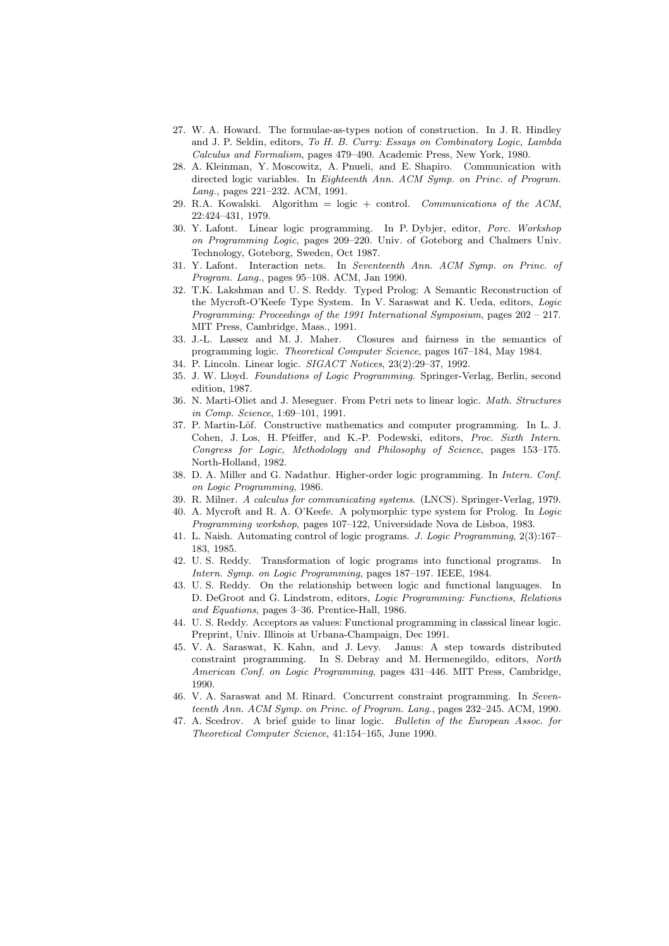- 27. W. A. Howard. The formulae-as-types notion of construction. In J. R. Hindley and J. P. Seldin, editors, To H. B. Curry: Essays on Combinatory Logic, Lambda Calculus and Formalism, pages 479–490. Academic Press, New York, 1980.
- 28. A. Kleinman, Y. Moscowitz, A. Pnueli, and E. Shapiro. Communication with directed logic variables. In Eighteenth Ann. ACM Symp. on Princ. of Program. Lang., pages 221–232. ACM, 1991.
- 29. R.A. Kowalski. Algorithm  $=$  logic  $+$  control. Communications of the ACM, 22:424–431, 1979.
- 30. Y. Lafont. Linear logic programming. In P. Dybjer, editor, Porc. Workshop on Programming Logic, pages 209–220. Univ. of Goteborg and Chalmers Univ. Technology, Goteborg, Sweden, Oct 1987.
- 31. Y. Lafont. Interaction nets. In Seventeenth Ann. ACM Symp. on Princ. of Program. Lang., pages 95–108. ACM, Jan 1990.
- 32. T.K. Lakshman and U. S. Reddy. Typed Prolog: A Semantic Reconstruction of the Mycroft-O'Keefe Type System. In V. Saraswat and K. Ueda, editors, Logic Programming: Proceedings of the 1991 International Symposium, pages  $202 - 217$ . MIT Press, Cambridge, Mass., 1991.
- 33. J.-L. Lassez and M. J. Maher. Closures and fairness in the semantics of programming logic. Theoretical Computer Science, pages 167–184, May 1984.
- 34. P. Lincoln. Linear logic. SIGACT Notices, 23(2):29–37, 1992.
- 35. J. W. Lloyd. Foundations of Logic Programming. Springer-Verlag, Berlin, second edition, 1987.
- 36. N. Marti-Oliet and J. Meseguer. From Petri nets to linear logic. Math. Structures in Comp. Science, 1:69–101, 1991.
- 37. P. Martin-Löf. Constructive mathematics and computer programming. In L. J. Cohen, J. Los, H. Pfeiffer, and K.-P. Podewski, editors, Proc. Sixth Intern. Congress for Logic, Methodology and Philosophy of Science, pages 153–175. North-Holland, 1982.
- 38. D. A. Miller and G. Nadathur. Higher-order logic programming. In Intern. Conf. on Logic Programming, 1986.
- 39. R. Milner. A calculus for communicating systems. (LNCS). Springer-Verlag, 1979.
- 40. A. Mycroft and R. A. O'Keefe. A polymorphic type system for Prolog. In Logic Programming workshop, pages 107–122, Universidade Nova de Lisboa, 1983.
- 41. L. Naish. Automating control of logic programs. J. Logic Programming, 2(3):167– 183, 1985.
- 42. U. S. Reddy. Transformation of logic programs into functional programs. In Intern. Symp. on Logic Programming, pages 187–197. IEEE, 1984.
- 43. U. S. Reddy. On the relationship between logic and functional languages. In D. DeGroot and G. Lindstrom, editors, Logic Programming: Functions, Relations and Equations, pages 3–36. Prentice-Hall, 1986.
- 44. U. S. Reddy. Acceptors as values: Functional programming in classical linear logic. Preprint, Univ. Illinois at Urbana-Champaign, Dec 1991.
- 45. V. A. Saraswat, K. Kahn, and J. Levy. Janus: A step towards distributed constraint programming. In S. Debray and M. Hermenegildo, editors, North American Conf. on Logic Programming, pages 431-446. MIT Press, Cambridge, 1990.
- 46. V. A. Saraswat and M. Rinard. Concurrent constraint programming. In Seventeenth Ann. ACM Symp. on Princ. of Program. Lang., pages 232–245. ACM, 1990.
- 47. A. Scedrov. A brief guide to linar logic. Bulletin of the European Assoc. for Theoretical Computer Science, 41:154–165, June 1990.